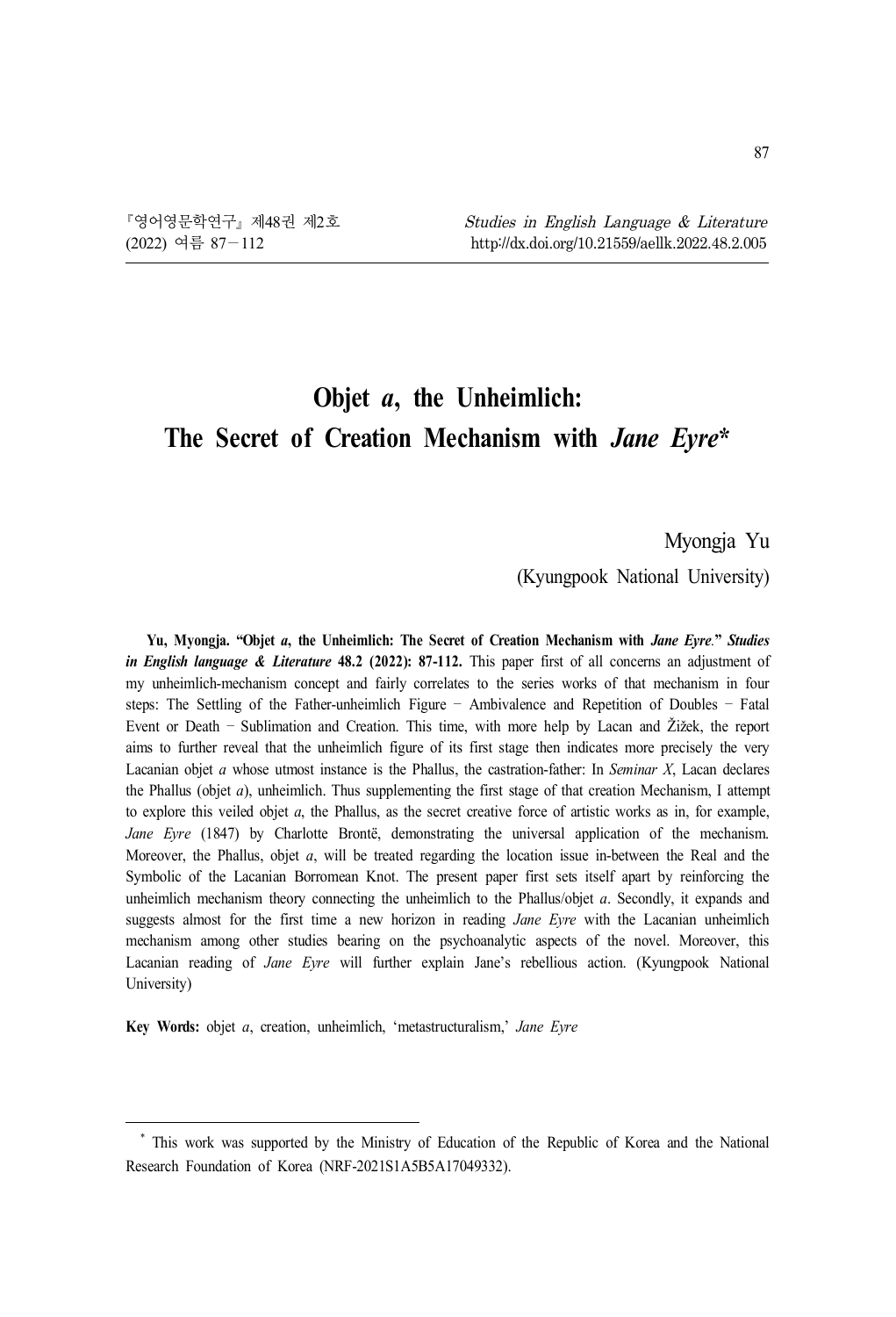# **Objet** *a***, the Unheimlich: The Secret of Creation Mechanism with** *Jane Eyre***\*<sup>1</sup>**

Myongja Yu

(Kyungpook National University)

**Yu, Myongja. "Objet** *a***, the Unheimlich: The Secret of Creation Mechanism with** *Jane Eyre.***"** *Studies in English language & Literature* **48.2 (2022): 87-112.** This paper first of all concerns an adjustment of my unheimlich-mechanism concept and fairly correlates to the series works of that mechanism in four steps: The Settling of the Father-unheimlich Figure – Ambivalence and Repetition of Doubles – Fatal Event or Death – Sublimation and Creation. This time, with more help by Lacan and Žižek, the report aims to further reveal that the unheimlich figure of its first stage then indicates more precisely the very Lacanian objet *a* whose utmost instance is the Phallus, the castration-father: In *Seminar X*, Lacan declares the Phallus (objet *a*), unheimlich. Thus supplementing the first stage of that creation Mechanism, I attempt to explore this veiled objet *a*, the Phallus, as the secret creative force of artistic works as in, for example, *Jane Eyre* (1847) by Charlotte Brontë, demonstrating the universal application of the mechanism. Moreover, the Phallus, objet *a*, will be treated regarding the location issue in-between the Real and the Symbolic of the Lacanian Borromean Knot. The present paper first sets itself apart by reinforcing the unheimlich mechanism theory connecting the unheimlich to the Phallus/objet *a*. Secondly, it expands and suggests almost for the first time a new horizon in reading *Jane Eyre* with the Lacanian unheimlich mechanism among other studies bearing on the psychoanalytic aspects of the novel. Moreover, this Lacanian reading of *Jane Eyre* will further explain Jane's rebellious action. (Kyungpook National University)

**Key Words:** objet *a*, creation, unheimlich, 'metastructuralism,' *Jane Eyre*

<sup>\*</sup> This work was supported by the Ministry of Education of the Republic of Korea and the National Research Foundation of Korea (NRF-2021S1A5B5A17049332).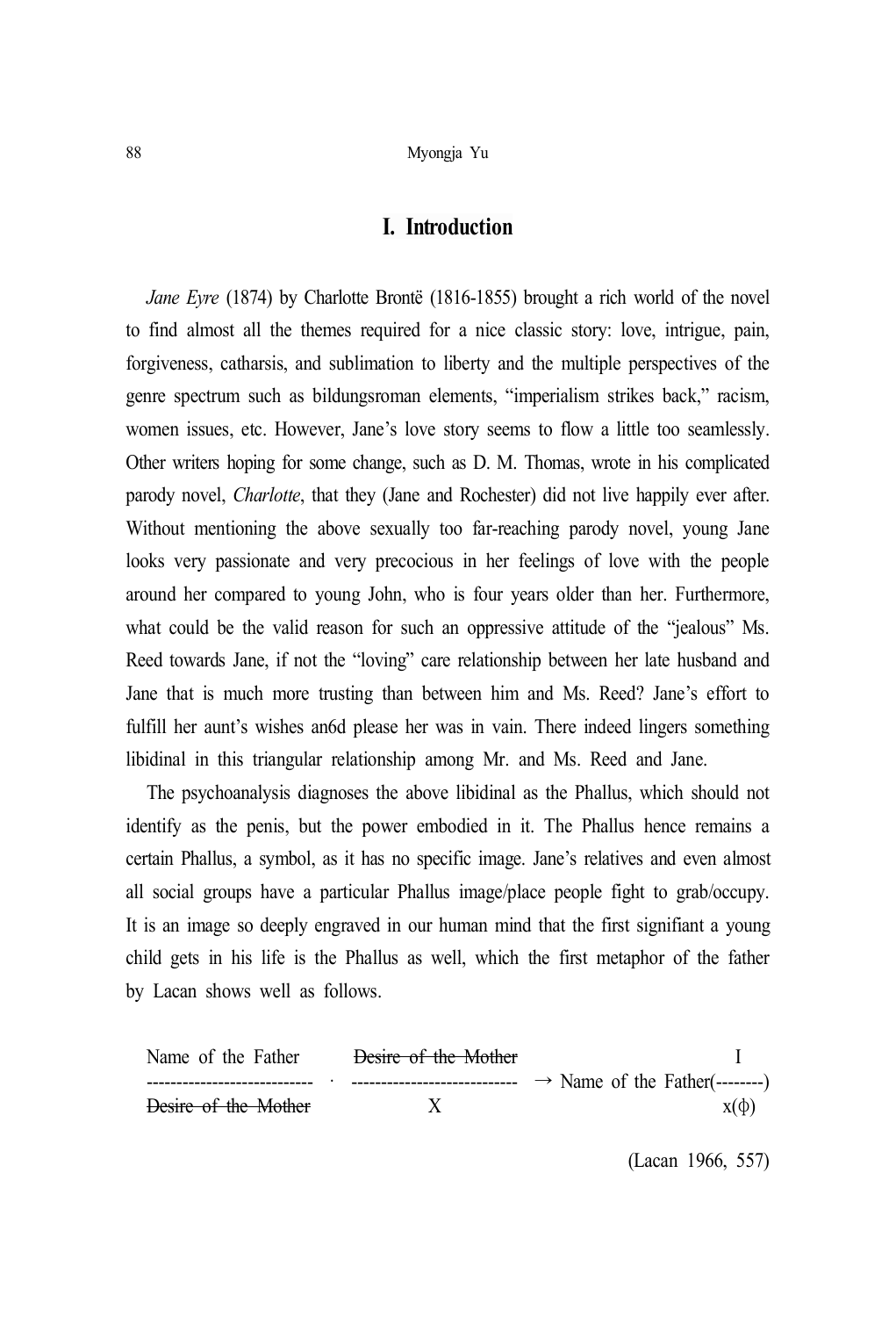# **I. Introduction**

*Jane Eyre* (1874) by Charlotte Brontë (1816-1855) brought a rich world of the novel to find almost all the themes required for a nice classic story: love, intrigue, pain, forgiveness, catharsis, and sublimation to liberty and the multiple perspectives of the genre spectrum such as bildungsroman elements, "imperialism strikes back," racism, women issues, etc. However, Jane's love story seems to flow a little too seamlessly. Other writers hoping for some change, such as D. M. Thomas, wrote in his complicated parody novel, *Charlotte*, that they (Jane and Rochester) did not live happily ever after. Without mentioning the above sexually too far-reaching parody novel, young Jane looks very passionate and very precocious in her feelings of love with the people around her compared to young John, who is four years older than her. Furthermore, what could be the valid reason for such an oppressive attitude of the "jealous" Ms. Reed towards Jane, if not the "loving" care relationship between her late husband and Jane that is much more trusting than between him and Ms. Reed? Jane's effort to fulfill her aunt's wishes an6d please her was in vain. There indeed lingers something libidinal in this triangular relationship among Mr. and Ms. Reed and Jane.

The psychoanalysis diagnoses the above libidinal as the Phallus, which should not identify as the penis, but the power embodied in it. The Phallus hence remains a certain Phallus, a symbol, as it has no specific image. Jane's relatives and even almost all social groups have a particular Phallus image/place people fight to grab/occupy. It is an image so deeply engraved in our human mind that the first signifiant a young child gets in his life is the Phallus as well, which the first metaphor of the father by Lacan shows well as follows.



(Lacan 1966, 557)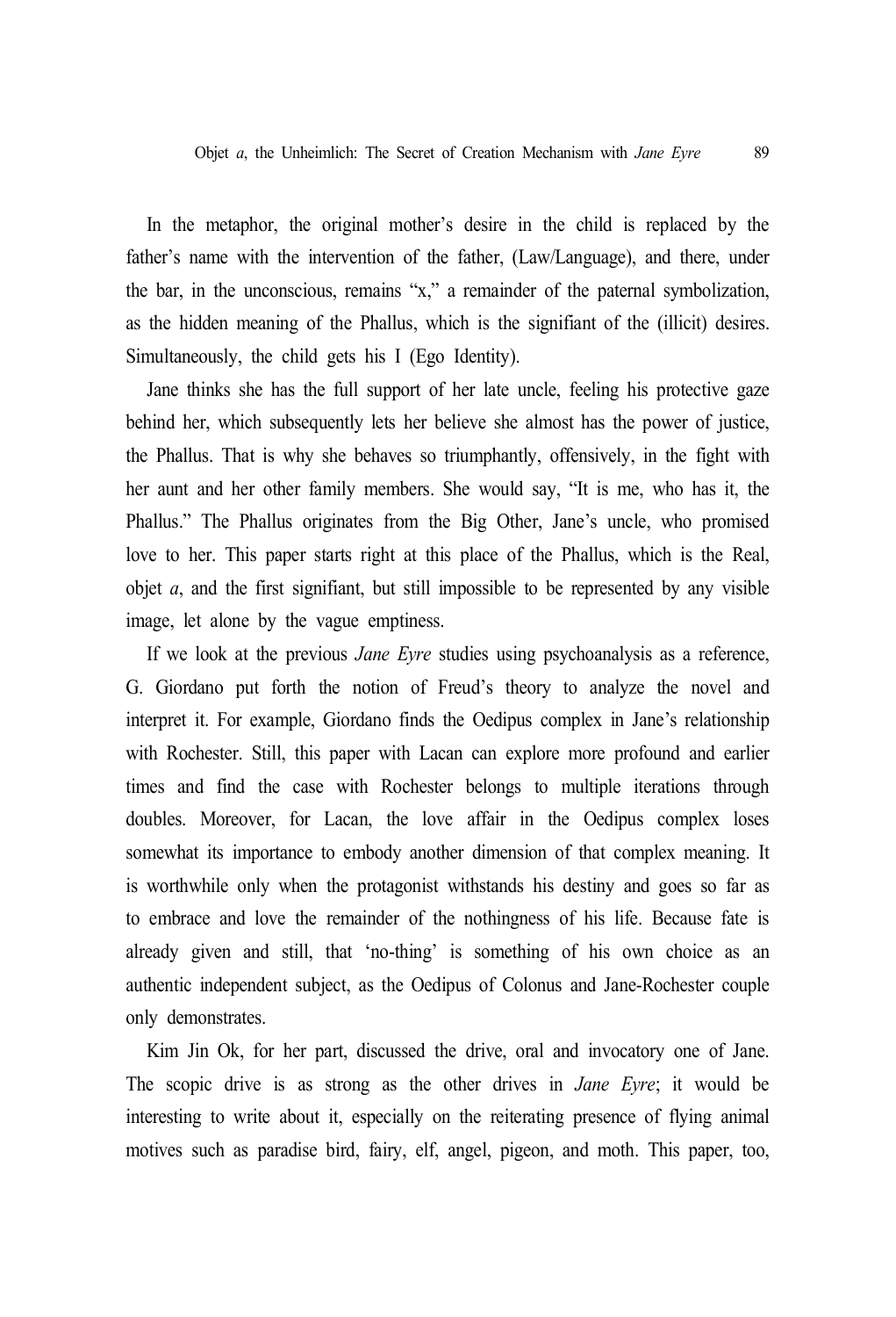In the metaphor, the original mother's desire in the child is replaced by the father's name with the intervention of the father, (Law/Language), and there, under the bar, in the unconscious, remains "x," a remainder of the paternal symbolization, as the hidden meaning of the Phallus, which is the signifiant of the (illicit) desires. Simultaneously, the child gets his I (Ego Identity).

Jane thinks she has the full support of her late uncle, feeling his protective gaze behind her, which subsequently lets her believe she almost has the power of justice, the Phallus. That is why she behaves so triumphantly, offensively, in the fight with her aunt and her other family members. She would say, "It is me, who has it, the Phallus." The Phallus originates from the Big Other, Jane's uncle, who promised love to her. This paper starts right at this place of the Phallus, which is the Real, objet *a*, and the first signifiant, but still impossible to be represented by any visible image, let alone by the vague emptiness.

If we look at the previous *Jane Eyre* studies using psychoanalysis as a reference, G. Giordano put forth the notion of Freud's theory to analyze the novel and interpret it. For example, Giordano finds the Oedipus complex in Jane's relationship with Rochester. Still, this paper with Lacan can explore more profound and earlier times and find the case with Rochester belongs to multiple iterations through doubles. Moreover, for Lacan, the love affair in the Oedipus complex loses somewhat its importance to embody another dimension of that complex meaning. It is worthwhile only when the protagonist withstands his destiny and goes so far as to embrace and love the remainder of the nothingness of his life. Because fate is already given and still, that 'no-thing' is something of his own choice as an authentic independent subject, as the Oedipus of Colonus and Jane-Rochester couple only demonstrates.

Kim Jin Ok, for her part, discussed the drive, oral and invocatory one of Jane. The scopic drive is as strong as the other drives in *Jane Eyre*; it would be interesting to write about it, especially on the reiterating presence of flying animal motives such as paradise bird, fairy, elf, angel, pigeon, and moth. This paper, too,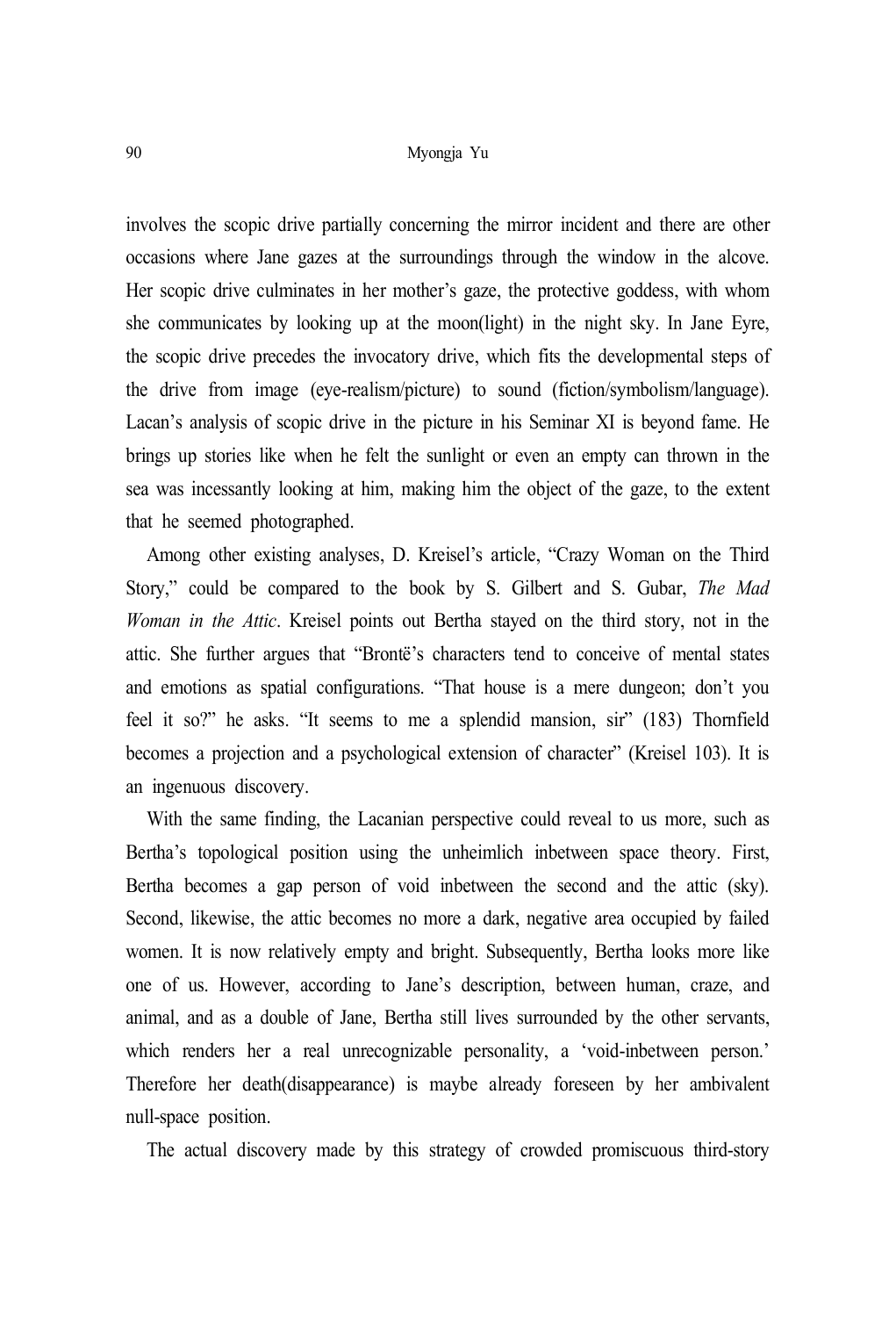involves the scopic drive partially concerning the mirror incident and there are other occasions where Jane gazes at the surroundings through the window in the alcove. Her scopic drive culminates in her mother's gaze, the protective goddess, with whom she communicates by looking up at the moon(light) in the night sky. In Jane Eyre, the scopic drive precedes the invocatory drive, which fits the developmental steps of the drive from image (eye-realism/picture) to sound (fiction/symbolism/language). Lacan's analysis of scopic drive in the picture in his Seminar XI is beyond fame. He brings up stories like when he felt the sunlight or even an empty can thrown in the sea was incessantly looking at him, making him the object of the gaze, to the extent that he seemed photographed.

Among other existing analyses, D. Kreisel's article, "Crazy Woman on the Third Story," could be compared to the book by S. Gilbert and S. Gubar, *The Mad Woman in the Attic*. Kreisel points out Bertha stayed on the third story, not in the attic. She further argues that "Brontë's characters tend to conceive of mental states and emotions as spatial configurations. "That house is a mere dungeon; don't you feel it so?" he asks. "It seems to me a splendid mansion, sir" (183) Thornfield becomes a projection and a psychological extension of character" (Kreisel 103). It is an ingenuous discovery.

With the same finding, the Lacanian perspective could reveal to us more, such as Bertha's topological position using the unheimlich inbetween space theory. First, Bertha becomes a gap person of void inbetween the second and the attic (sky). Second, likewise, the attic becomes no more a dark, negative area occupied by failed women. It is now relatively empty and bright. Subsequently, Bertha looks more like one of us. However, according to Jane's description, between human, craze, and animal, and as a double of Jane, Bertha still lives surrounded by the other servants, which renders her a real unrecognizable personality, a 'void-inbetween person.' Therefore her death(disappearance) is maybe already foreseen by her ambivalent null-space position.

The actual discovery made by this strategy of crowded promiscuous third-story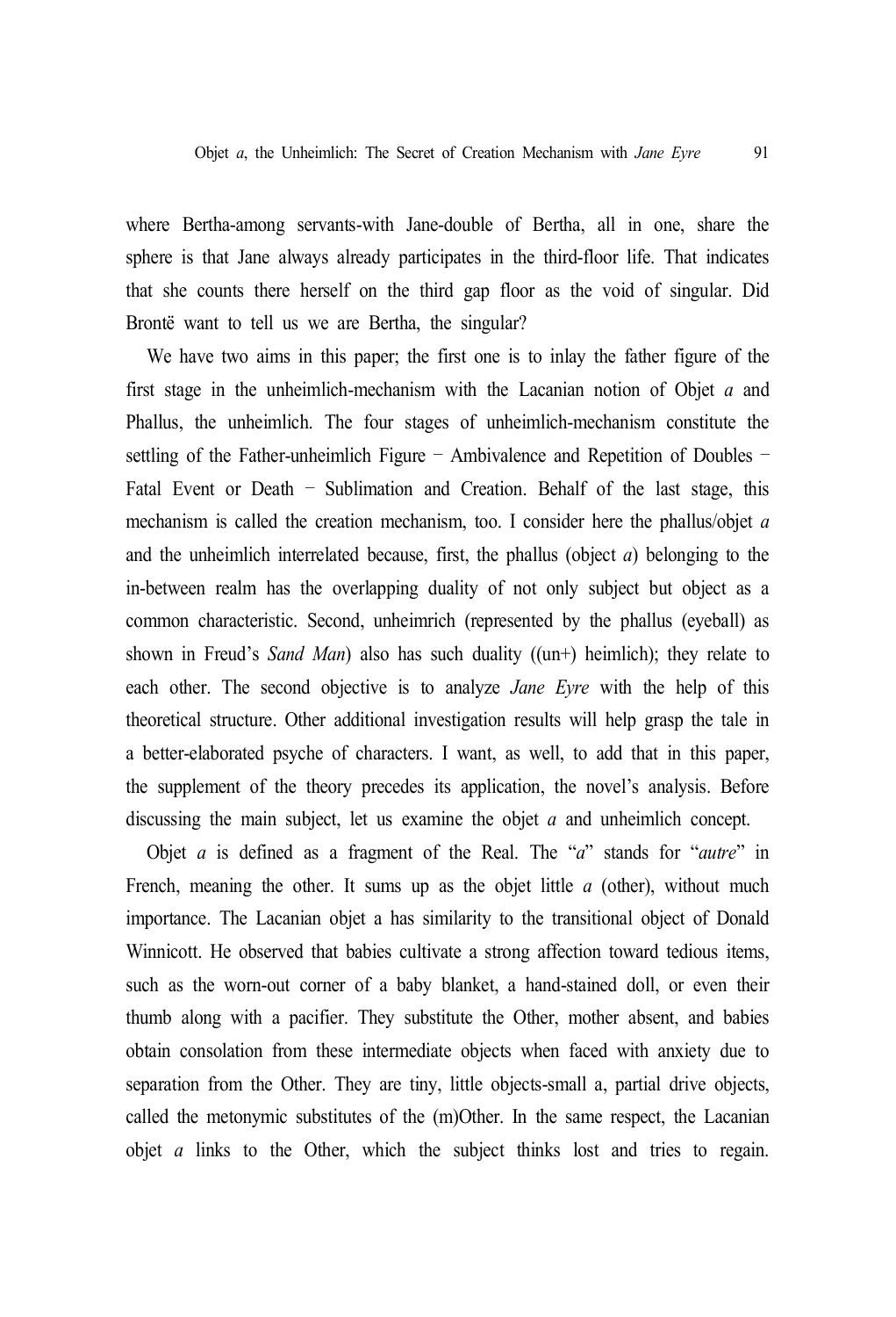where Bertha-among servants-with Jane-double of Bertha, all in one, share the sphere is that Jane always already participates in the third-floor life. That indicates that she counts there herself on the third gap floor as the void of singular. Did Brontë want to tell us we are Bertha, the singular?

We have two aims in this paper; the first one is to inlay the father figure of the first stage in the unheimlich-mechanism with the Lacanian notion of Objet *a* and Phallus, the unheimlich. The four stages of unheimlich-mechanism constitute the settling of the Father-unheimlich Figure – Ambivalence and Repetition of Doubles – Fatal Event or Death – Sublimation and Creation. Behalf of the last stage, this mechanism is called the creation mechanism, too. I consider here the phallus/objet *a* and the unheimlich interrelated because, first, the phallus (object *a*) belonging to the in-between realm has the overlapping duality of not only subject but object as a common characteristic. Second, unheimrich (represented by the phallus (eyeball) as shown in Freud's *Sand Man*) also has such duality ((un+) heimlich); they relate to each other. The second objective is to analyze *Jane Eyre* with the help of this theoretical structure. Other additional investigation results will help grasp the tale in a better-elaborated psyche of characters. I want, as well, to add that in this paper, the supplement of the theory precedes its application, the novel's analysis. Before discussing the main subject, let us examine the objet *a* and unheimlich concept.

Objet *a* is defined as a fragment of the Real. The "*a*" stands for "*autre*" in French, meaning the other. It sums up as the objet little *a* (other), without much importance. The Lacanian objet a has similarity to the transitional object of Donald Winnicott. He observed that babies cultivate a strong affection toward tedious items, such as the worn-out corner of a baby blanket, a hand-stained doll, or even their thumb along with a pacifier. They substitute the Other, mother absent, and babies obtain consolation from these intermediate objects when faced with anxiety due to separation from the Other. They are tiny, little objects-small a, partial drive objects, called the metonymic substitutes of the (m)Other. In the same respect, the Lacanian objet *a* links to the Other, which the subject thinks lost and tries to regain.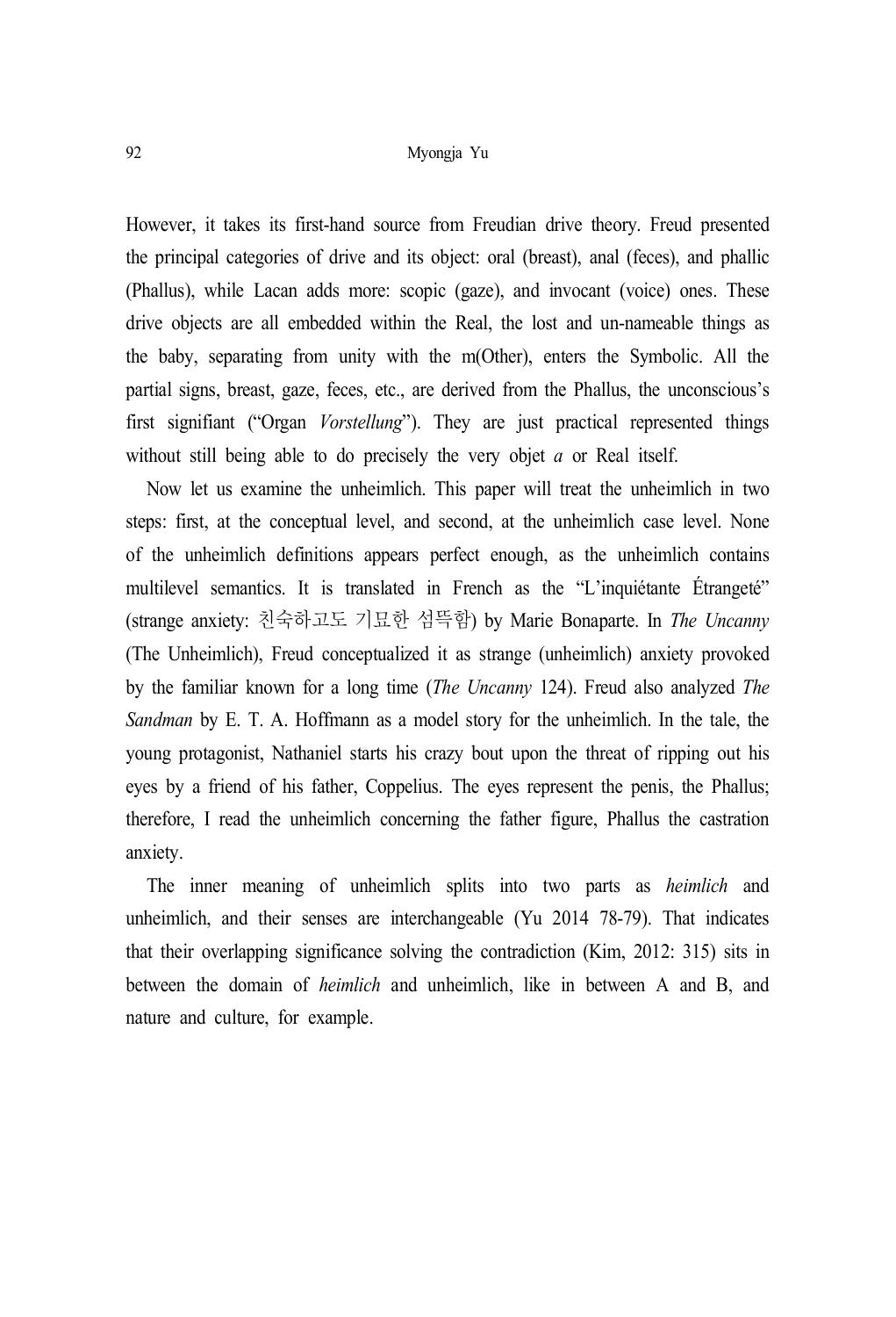However, it takes its first-hand source from Freudian drive theory. Freud presented the principal categories of drive and its object: oral (breast), anal (feces), and phallic (Phallus), while Lacan adds more: scopic (gaze), and invocant (voice) ones. These drive objects are all embedded within the Real, the lost and un-nameable things as the baby, separating from unity with the m(Other), enters the Symbolic. All the partial signs, breast, gaze, feces, etc., are derived from the Phallus, the unconscious's first signifiant ("Organ *Vorstellung*"). They are just practical represented things without still being able to do precisely the very objet *a* or Real itself.

Now let us examine the unheimlich. This paper will treat the unheimlich in two steps: first, at the conceptual level, and second, at the unheimlich case level. None of the unheimlich definitions appears perfect enough, as the unheimlich contains multilevel semantics. It is translated in French as the "L'inquiétante Étrangeté" (strange anxiety: 친숙하고도 기묘한 섬뜩함) by Marie Bonaparte. In *The Uncanny* (The Unheimlich), Freud conceptualized it as strange (unheimlich) anxiety provoked by the familiar known for a long time (*The Uncanny* 124). Freud also analyzed *The Sandman* by E. T. A. Hoffmann as a model story for the unheimlich. In the tale, the young protagonist, Nathaniel starts his crazy bout upon the threat of ripping out his eyes by a friend of his father, Coppelius. The eyes represent the penis, the Phallus; therefore, I read the unheimlich concerning the father figure, Phallus the castration anxiety.

The inner meaning of unheimlich splits into two parts as *heimlich* and unheimlich, and their senses are interchangeable (Yu 2014 78-79). That indicates that their overlapping significance solving the contradiction (Kim, 2012: 315) sits in between the domain of *heimlich* and unheimlich, like in between A and B, and nature and culture, for example.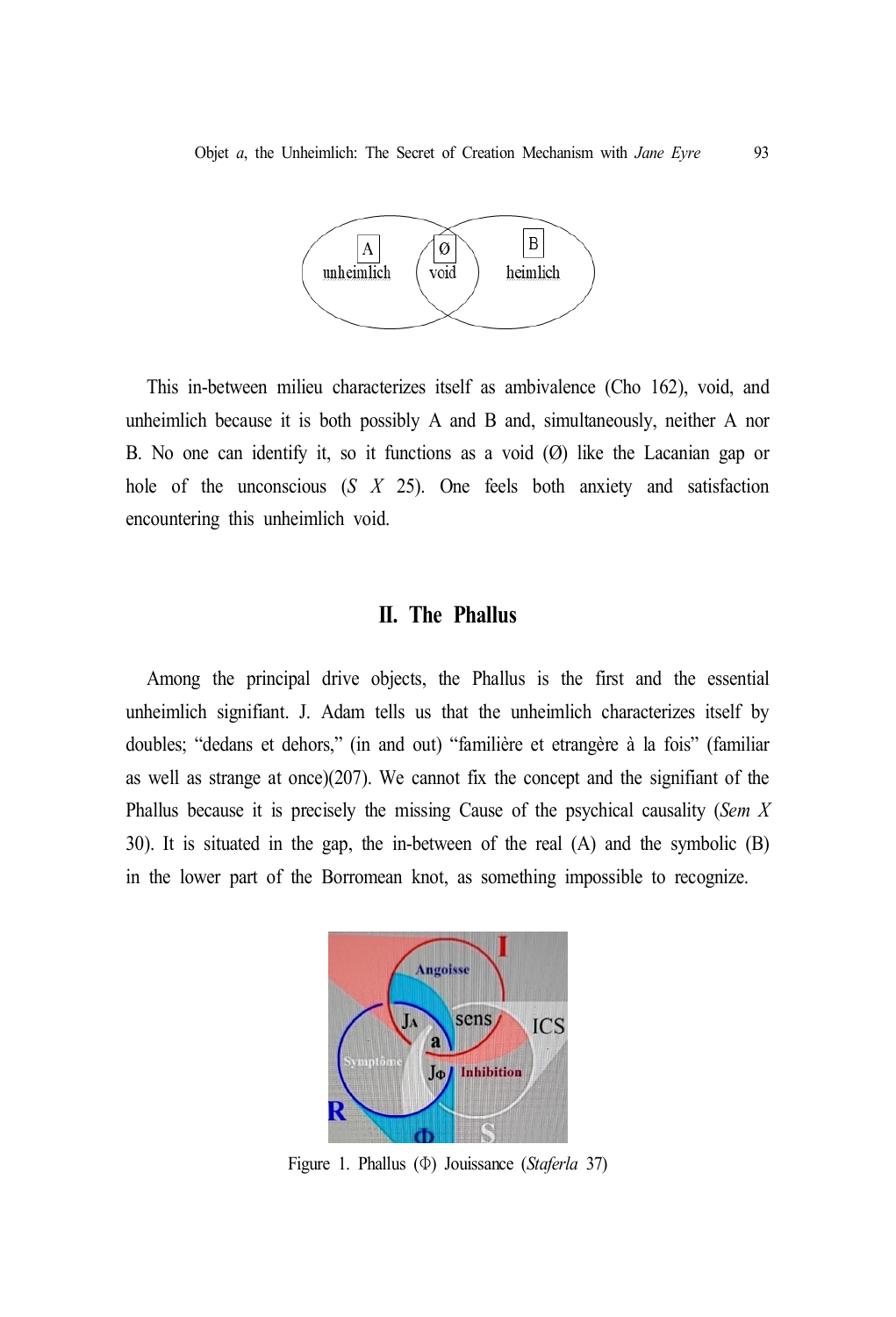

This in-between milieu characterizes itself as ambivalence (Cho 162), void, and unheimlich because it is both possibly A and B and, simultaneously, neither A nor B. No one can identify it, so it functions as a void (Ø) like the Lacanian gap or hole of the unconscious (*S X* 25). One feels both anxiety and satisfaction encountering this unheimlich void.

# **II. The Phallus**

Among the principal drive objects, the Phallus is the first and the essential unheimlich signifiant. J. Adam tells us that the unheimlich characterizes itself by doubles; "dedans et dehors," (in and out) "familière et etrangère à la fois" (familiar as well as strange at once)(207). We cannot fix the concept and the signifiant of the Phallus because it is precisely the missing Cause of the psychical causality (*Sem X* 30). It is situated in the gap, the in-between of the real (A) and the symbolic (B) in the lower part of the Borromean knot, as something impossible to recognize.



Figure 1. Phallus (Φ) Jouissance (*Staferla* 37)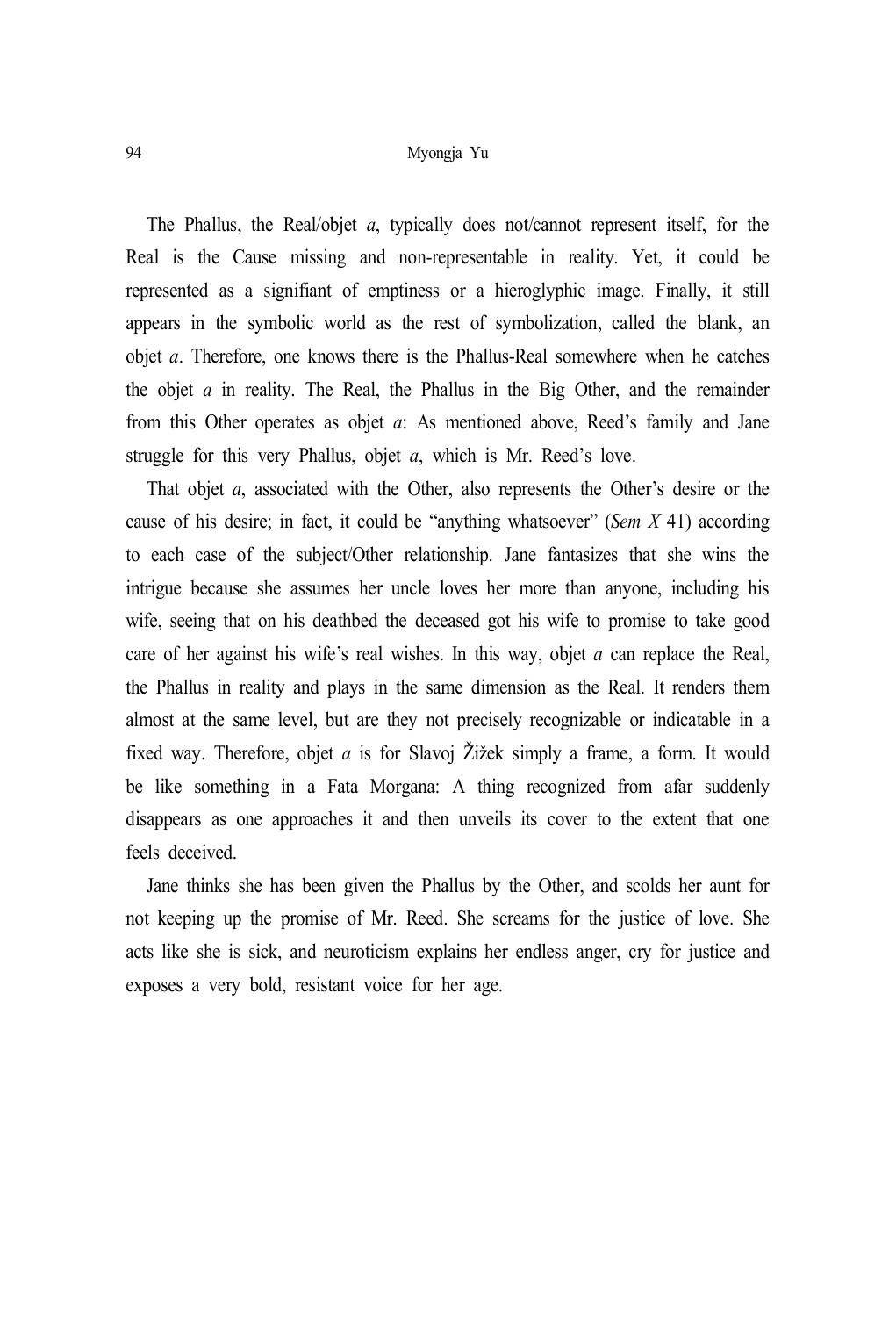The Phallus, the Real/objet *a*, typically does not/cannot represent itself, for the Real is the Cause missing and non-representable in reality. Yet, it could be represented as a signifiant of emptiness or a hieroglyphic image. Finally, it still appears in the symbolic world as the rest of symbolization, called the blank, an objet *a*. Therefore, one knows there is the Phallus-Real somewhere when he catches the objet *a* in reality. The Real, the Phallus in the Big Other, and the remainder from this Other operates as objet *a*: As mentioned above, Reed's family and Jane struggle for this very Phallus, objet *a*, which is Mr. Reed's love.

That objet *a*, associated with the Other, also represents the Other's desire or the cause of his desire; in fact, it could be "anything whatsoever" (*Sem X* 41) according to each case of the subject/Other relationship. Jane fantasizes that she wins the intrigue because she assumes her uncle loves her more than anyone, including his wife, seeing that on his deathbed the deceased got his wife to promise to take good care of her against his wife's real wishes. In this way, objet *a* can replace the Real, the Phallus in reality and plays in the same dimension as the Real. It renders them almost at the same level, but are they not precisely recognizable or indicatable in a fixed way. Therefore, objet *a* is for Slavoj Žižek simply a frame, a form. It would be like something in a Fata Morgana: A thing recognized from afar suddenly disappears as one approaches it and then unveils its cover to the extent that one feels deceived.

Jane thinks she has been given the Phallus by the Other, and scolds her aunt for not keeping up the promise of Mr. Reed. She screams for the justice of love. She acts like she is sick, and neuroticism explains her endless anger, cry for justice and exposes a very bold, resistant voice for her age.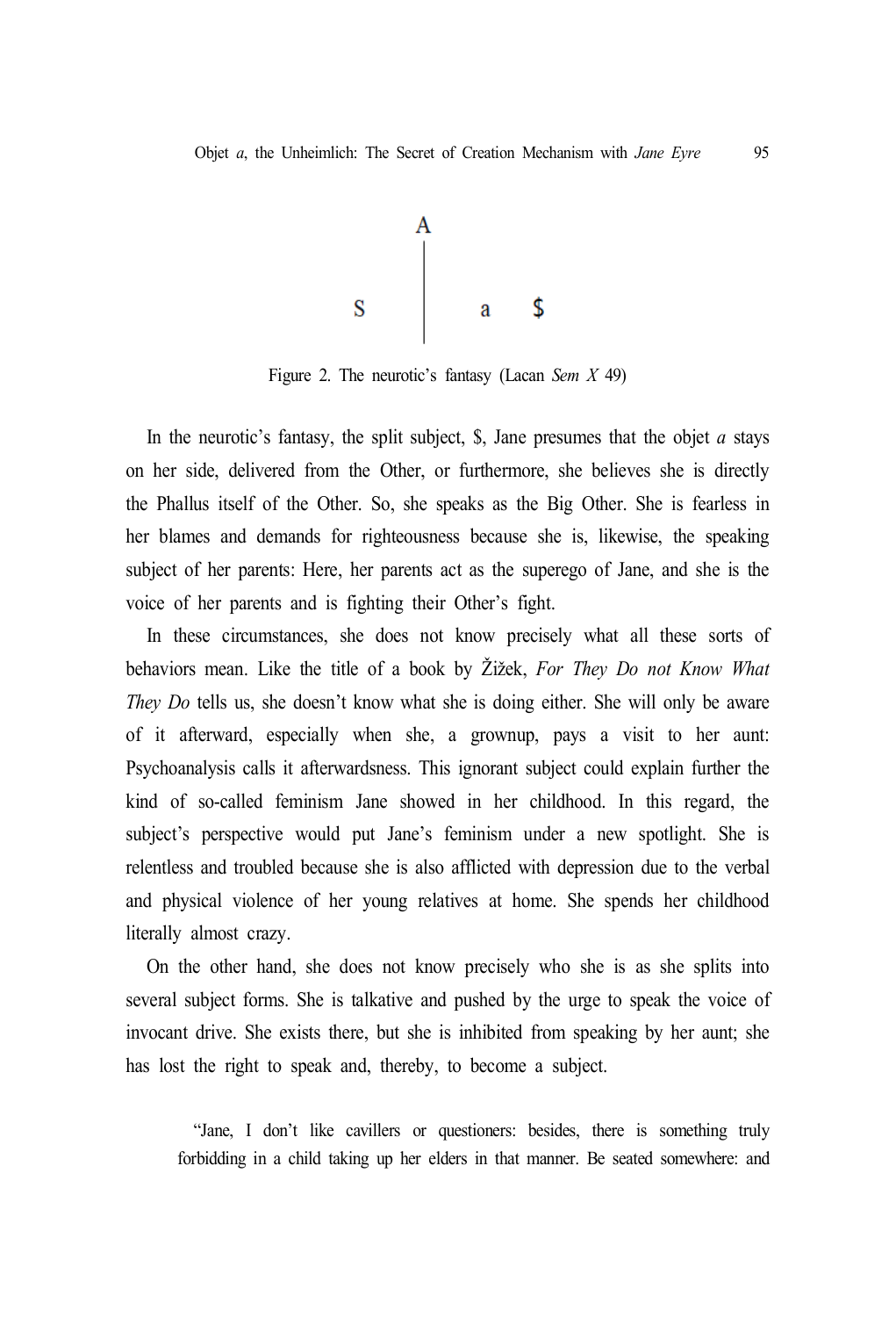

Figure 2. The neurotic's fantasy (Lacan *Sem X* 49)

In the neurotic's fantasy, the split subject, \$, Jane presumes that the objet *a* stays on her side, delivered from the Other, or furthermore, she believes she is directly the Phallus itself of the Other. So, she speaks as the Big Other. She is fearless in her blames and demands for righteousness because she is, likewise, the speaking subject of her parents: Here, her parents act as the superego of Jane, and she is the voice of her parents and is fighting their Other's fight.

In these circumstances, she does not know precisely what all these sorts of behaviors mean. Like the title of a book by Žižek, *For They Do not Know What They Do* tells us, she doesn't know what she is doing either. She will only be aware of it afterward, especially when she, a grownup, pays a visit to her aunt: Psychoanalysis calls it afterwardsness. This ignorant subject could explain further the kind of so-called feminism Jane showed in her childhood. In this regard, the subject's perspective would put Jane's feminism under a new spotlight. She is relentless and troubled because she is also afflicted with depression due to the verbal and physical violence of her young relatives at home. She spends her childhood literally almost crazy.

On the other hand, she does not know precisely who she is as she splits into several subject forms. She is talkative and pushed by the urge to speak the voice of invocant drive. She exists there, but she is inhibited from speaking by her aunt; she has lost the right to speak and, thereby, to become a subject.

"Jane, I don't like cavillers or questioners: besides, there is something truly forbidding in a child taking up her elders in that manner. Be seated somewhere: and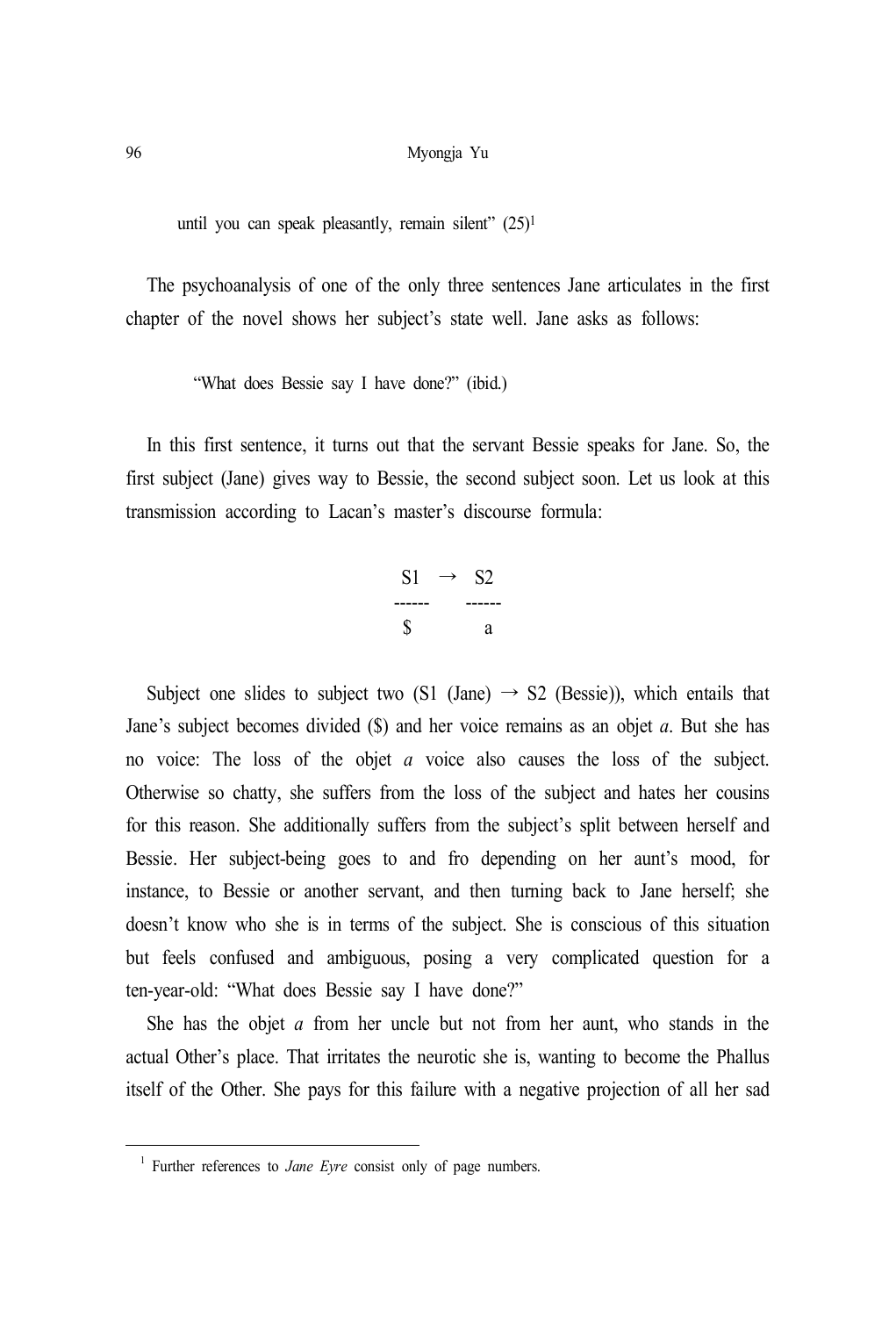until you can speak pleasantly, remain silent" (25) 1

The psychoanalysis of one of the only three sentences Jane articulates in the first chapter of the novel shows her subject's state well. Jane asks as follows:

"What does Bessie say I have done?" (ibid.)

In this first sentence, it turns out that the servant Bessie speaks for Jane. So, the first subject (Jane) gives way to Bessie, the second subject soon. Let us look at this transmission according to Lacan's master's discourse formula:

| SI | S2 |
|----|----|
|    |    |
| К  | а  |

Subject one slides to subject two (S1 (Jane)  $\rightarrow$  S2 (Bessie)), which entails that Jane's subject becomes divided (\$) and her voice remains as an objet *a*. But she has no voice: The loss of the objet *a* voice also causes the loss of the subject. Otherwise so chatty, she suffers from the loss of the subject and hates her cousins for this reason. She additionally suffers from the subject's split between herself and Bessie. Her subject-being goes to and fro depending on her aunt's mood, for instance, to Bessie or another servant, and then turning back to Jane herself; she doesn't know who she is in terms of the subject. She is conscious of this situation but feels confused and ambiguous, posing a very complicated question for a ten-year-old: "What does Bessie say I have done?"

She has the objet *a* from her uncle but not from her aunt, who stands in the actual Other's place. That irritates the neurotic she is, wanting to become the Phallus itself of the Other. She pays for this failure with a negative projection of all her sad

<sup>&</sup>lt;sup>1</sup> Further references to *Jane Eyre* consist only of page numbers.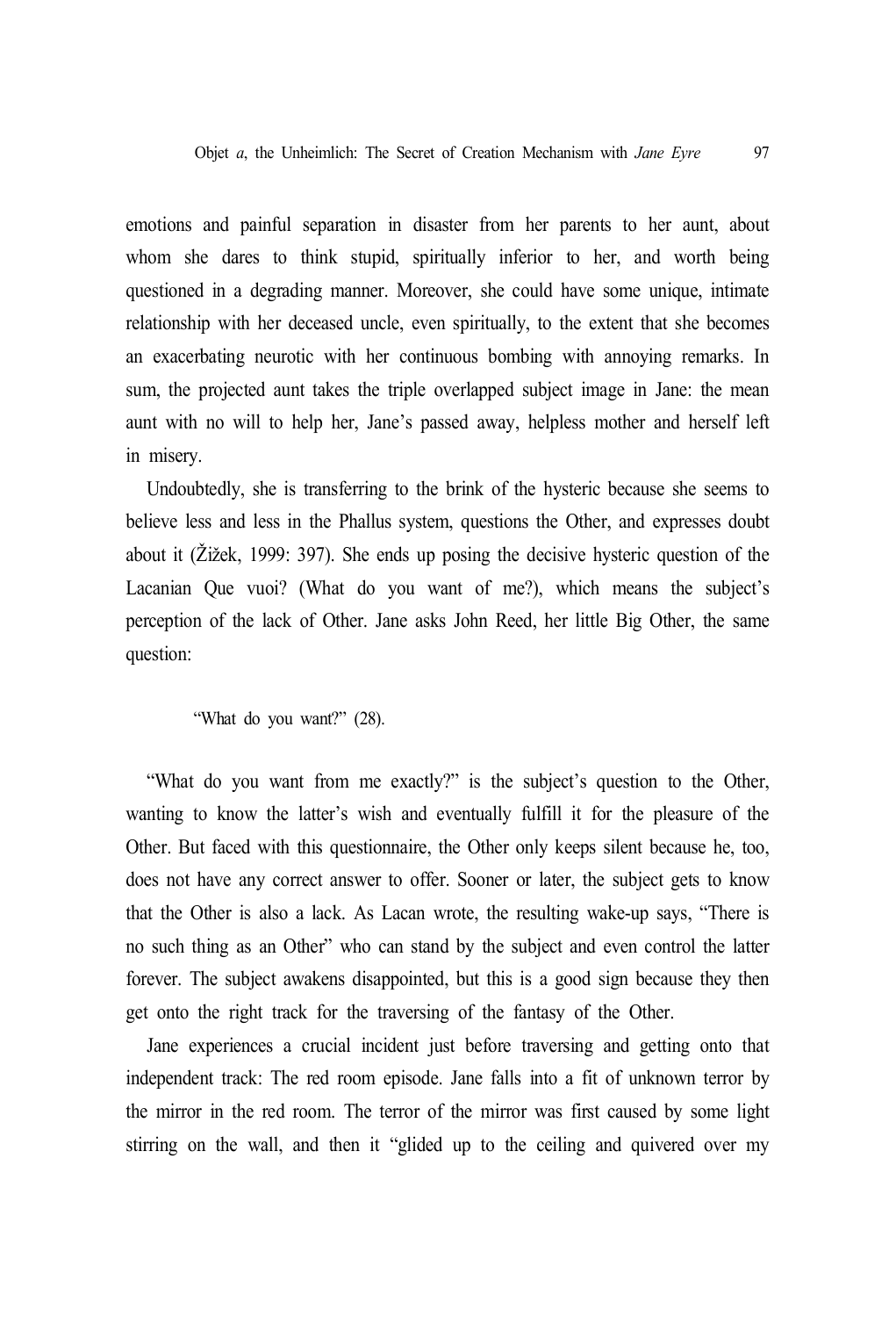emotions and painful separation in disaster from her parents to her aunt, about whom she dares to think stupid, spiritually inferior to her, and worth being questioned in a degrading manner. Moreover, she could have some unique, intimate relationship with her deceased uncle, even spiritually, to the extent that she becomes an exacerbating neurotic with her continuous bombing with annoying remarks. In sum, the projected aunt takes the triple overlapped subject image in Jane: the mean aunt with no will to help her, Jane's passed away, helpless mother and herself left in misery.

Undoubtedly, she is transferring to the brink of the hysteric because she seems to believe less and less in the Phallus system, questions the Other, and expresses doubt about it (Žižek, 1999: 397). She ends up posing the decisive hysteric question of the Lacanian Que vuoi? (What do you want of me?), which means the subject's perception of the lack of Other. Jane asks John Reed, her little Big Other, the same question:

"What do you want?" (28).

"What do you want from me exactly?" is the subject's question to the Other, wanting to know the latter's wish and eventually fulfill it for the pleasure of the Other. But faced with this questionnaire, the Other only keeps silent because he, too, does not have any correct answer to offer. Sooner or later, the subject gets to know that the Other is also a lack. As Lacan wrote, the resulting wake-up says, "There is no such thing as an Other" who can stand by the subject and even control the latter forever. The subject awakens disappointed, but this is a good sign because they then get onto the right track for the traversing of the fantasy of the Other.

Jane experiences a crucial incident just before traversing and getting onto that independent track: The red room episode. Jane falls into a fit of unknown terror by the mirror in the red room. The terror of the mirror was first caused by some light stirring on the wall, and then it "glided up to the ceiling and quivered over my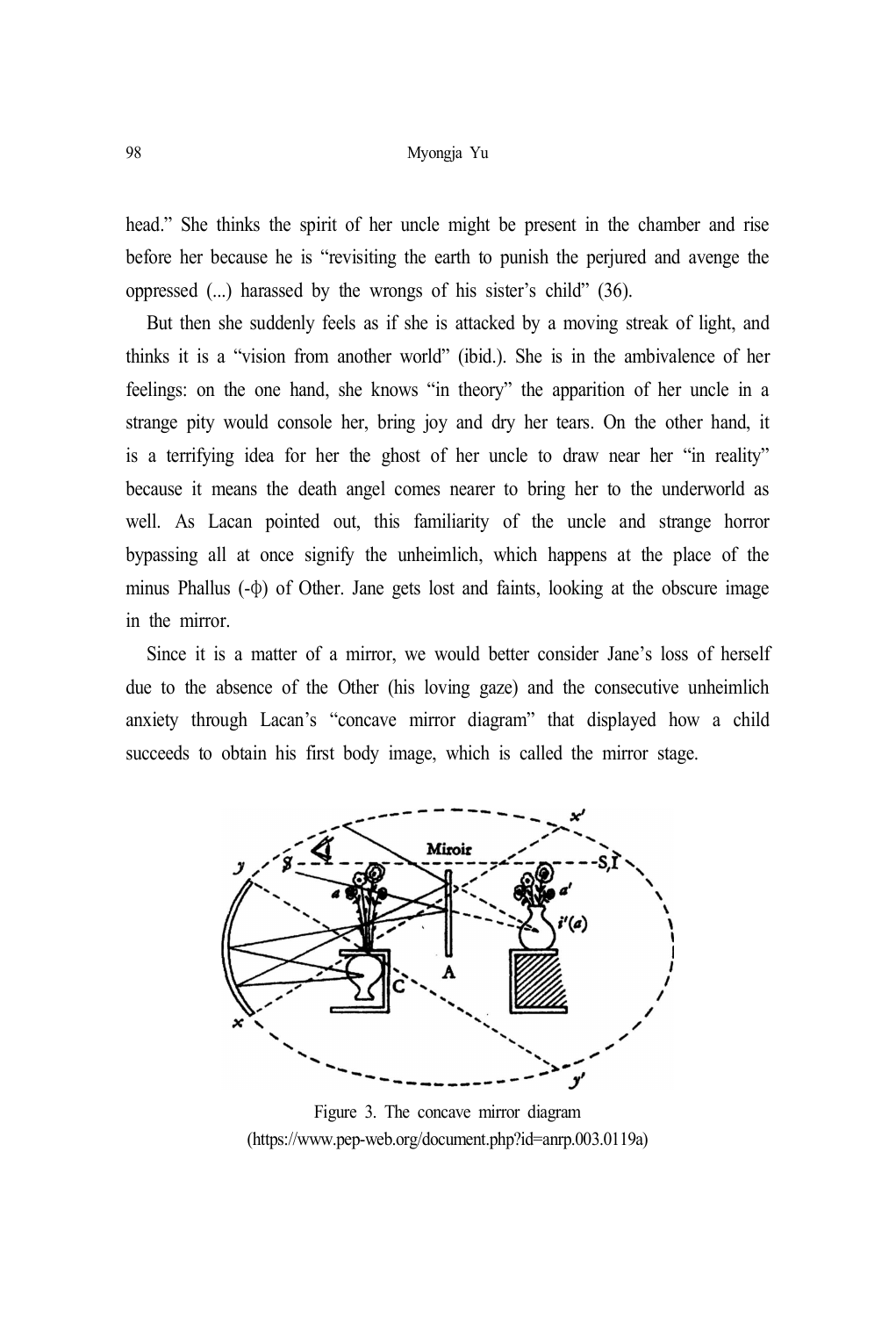head." She thinks the spirit of her uncle might be present in the chamber and rise before her because he is "revisiting the earth to punish the perjured and avenge the oppressed (...) harassed by the wrongs of his sister's child" (36).

But then she suddenly feels as if she is attacked by a moving streak of light, and thinks it is a "vision from another world" (ibid.). She is in the ambivalence of her feelings: on the one hand, she knows "in theory" the apparition of her uncle in a strange pity would console her, bring joy and dry her tears. On the other hand, it is a terrifying idea for her the ghost of her uncle to draw near her "in reality" because it means the death angel comes nearer to bring her to the underworld as well. As Lacan pointed out, this familiarity of the uncle and strange horror bypassing all at once signify the unheimlich, which happens at the place of the minus Phallus (-φ) of Other. Jane gets lost and faints, looking at the obscure image in the mirror.

Since it is a matter of a mirror, we would better consider Jane's loss of herself due to the absence of the Other (his loving gaze) and the consecutive unheimlich anxiety through Lacan's "concave mirror diagram" that displayed how a child succeeds to obtain his first body image, which is called the mirror stage.



Figure 3. The concave mirror diagram (https://www.pep-web.org/document.php?id=anrp.003.0119a)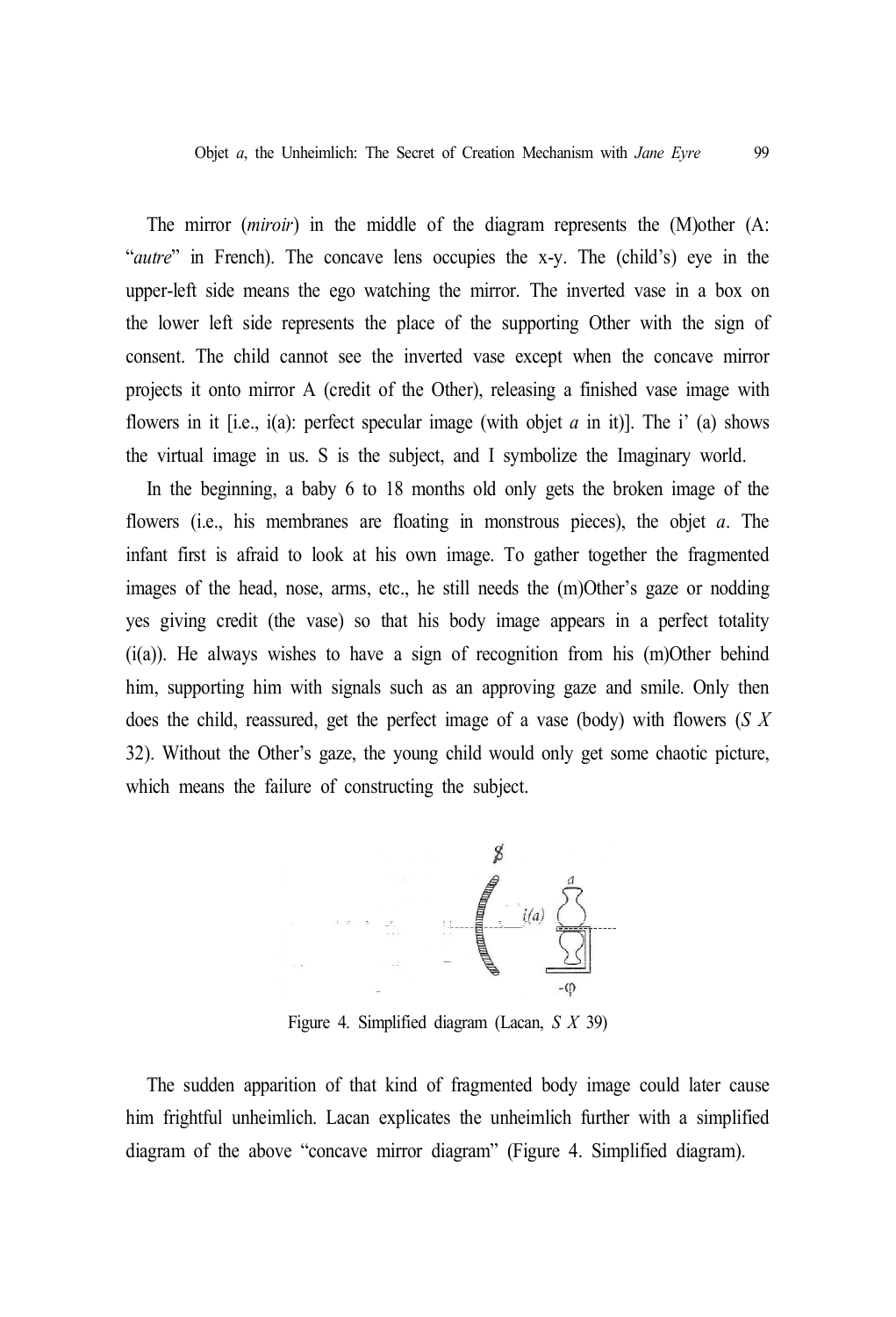The mirror (*miroir*) in the middle of the diagram represents the (M)other (A: "*autre*" in French). The concave lens occupies the x-y. The (child's) eye in the upper-left side means the ego watching the mirror. The inverted vase in a box on the lower left side represents the place of the supporting Other with the sign of consent. The child cannot see the inverted vase except when the concave mirror projects it onto mirror A (credit of the Other), releasing a finished vase image with flowers in it [i.e., i(a): perfect specular image (with objet *a* in it)]. The i' (a) shows the virtual image in us. S is the subject, and I symbolize the Imaginary world.

In the beginning, a baby 6 to 18 months old only gets the broken image of the flowers (i.e., his membranes are floating in monstrous pieces), the objet *a*. The infant first is afraid to look at his own image. To gather together the fragmented images of the head, nose, arms, etc., he still needs the (m)Other's gaze or nodding yes giving credit (the vase) so that his body image appears in a perfect totality (i(a)). He always wishes to have a sign of recognition from his (m)Other behind him, supporting him with signals such as an approving gaze and smile. Only then does the child, reassured, get the perfect image of a vase (body) with flowers (*S X* 32). Without the Other's gaze, the young child would only get some chaotic picture, which means the failure of constructing the subject.



Figure 4. Simplified diagram (Lacan, *S X* 39)

The sudden apparition of that kind of fragmented body image could later cause him frightful unheimlich. Lacan explicates the unheimlich further with a simplified diagram of the above "concave mirror diagram" (Figure 4. Simplified diagram).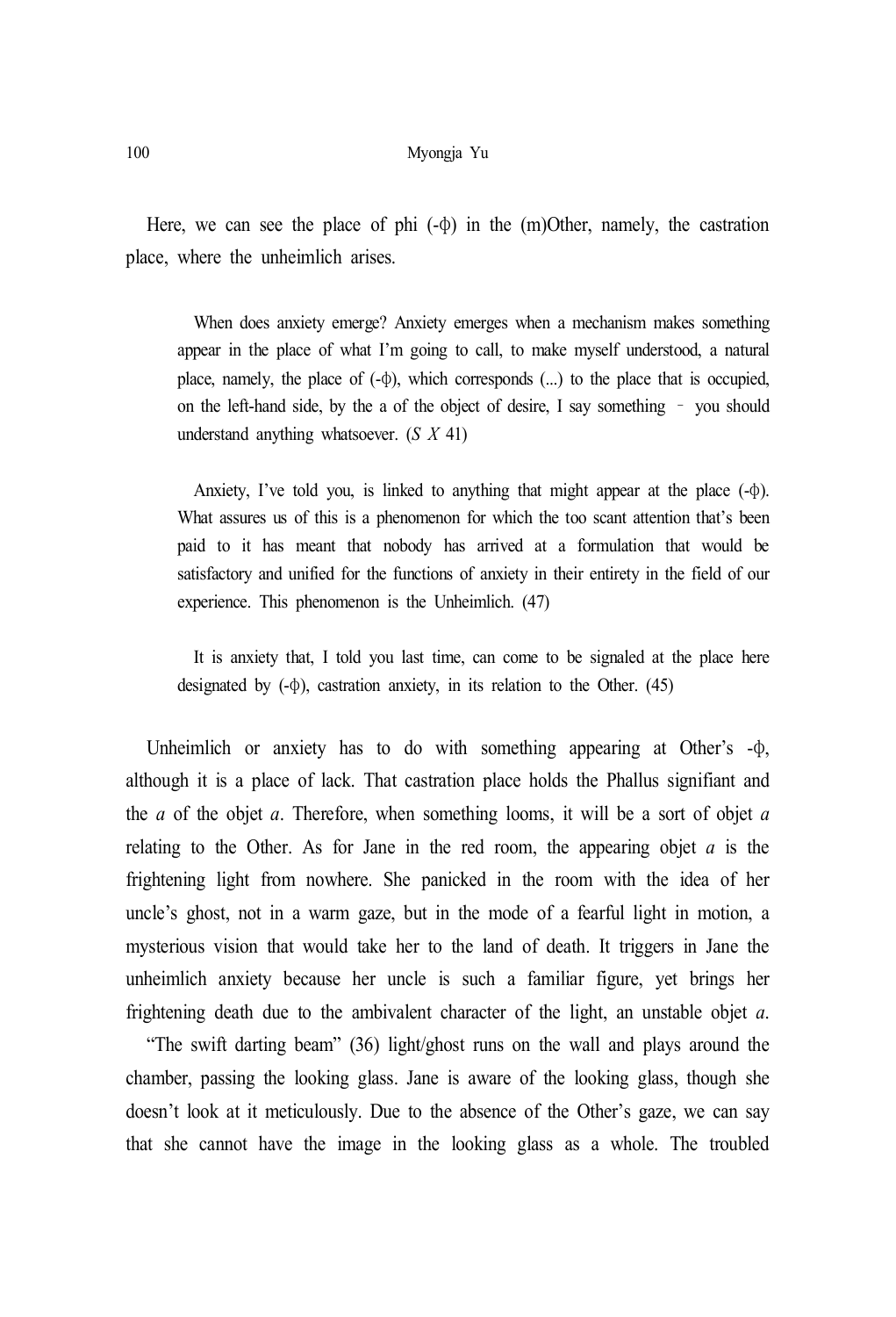Here, we can see the place of phi  $(-\phi)$  in the  $(m)$ Other, namely, the castration place, where the unheimlich arises.

When does anxiety emerge? Anxiety emerges when a mechanism makes something appear in the place of what I'm going to call, to make myself understood, a natural place, namely, the place of (-φ), which corresponds (...) to the place that is occupied, on the left-hand side, by the a of the object of desire, I say something – you should understand anything whatsoever. (*S X* 41)

Anxiety, I've told you, is linked to anything that might appear at the place  $(-\phi)$ . What assures us of this is a phenomenon for which the too scant attention that's been paid to it has meant that nobody has arrived at a formulation that would be satisfactory and unified for the functions of anxiety in their entirety in the field of our experience. This phenomenon is the Unheimlich. (47)

It is anxiety that, I told you last time, can come to be signaled at the place here designated by  $(-\phi)$ , castration anxiety, in its relation to the Other. (45)

Unheimlich or anxiety has to do with something appearing at Other's -φ, although it is a place of lack. That castration place holds the Phallus signifiant and the *a* of the objet *a*. Therefore, when something looms, it will be a sort of objet *a* relating to the Other. As for Jane in the red room, the appearing objet *a* is the frightening light from nowhere. She panicked in the room with the idea of her uncle's ghost, not in a warm gaze, but in the mode of a fearful light in motion, a mysterious vision that would take her to the land of death. It triggers in Jane the unheimlich anxiety because her uncle is such a familiar figure, yet brings her frightening death due to the ambivalent character of the light, an unstable objet *a*.

"The swift darting beam" (36) light/ghost runs on the wall and plays around the chamber, passing the looking glass. Jane is aware of the looking glass, though she doesn't look at it meticulously. Due to the absence of the Other's gaze, we can say that she cannot have the image in the looking glass as a whole. The troubled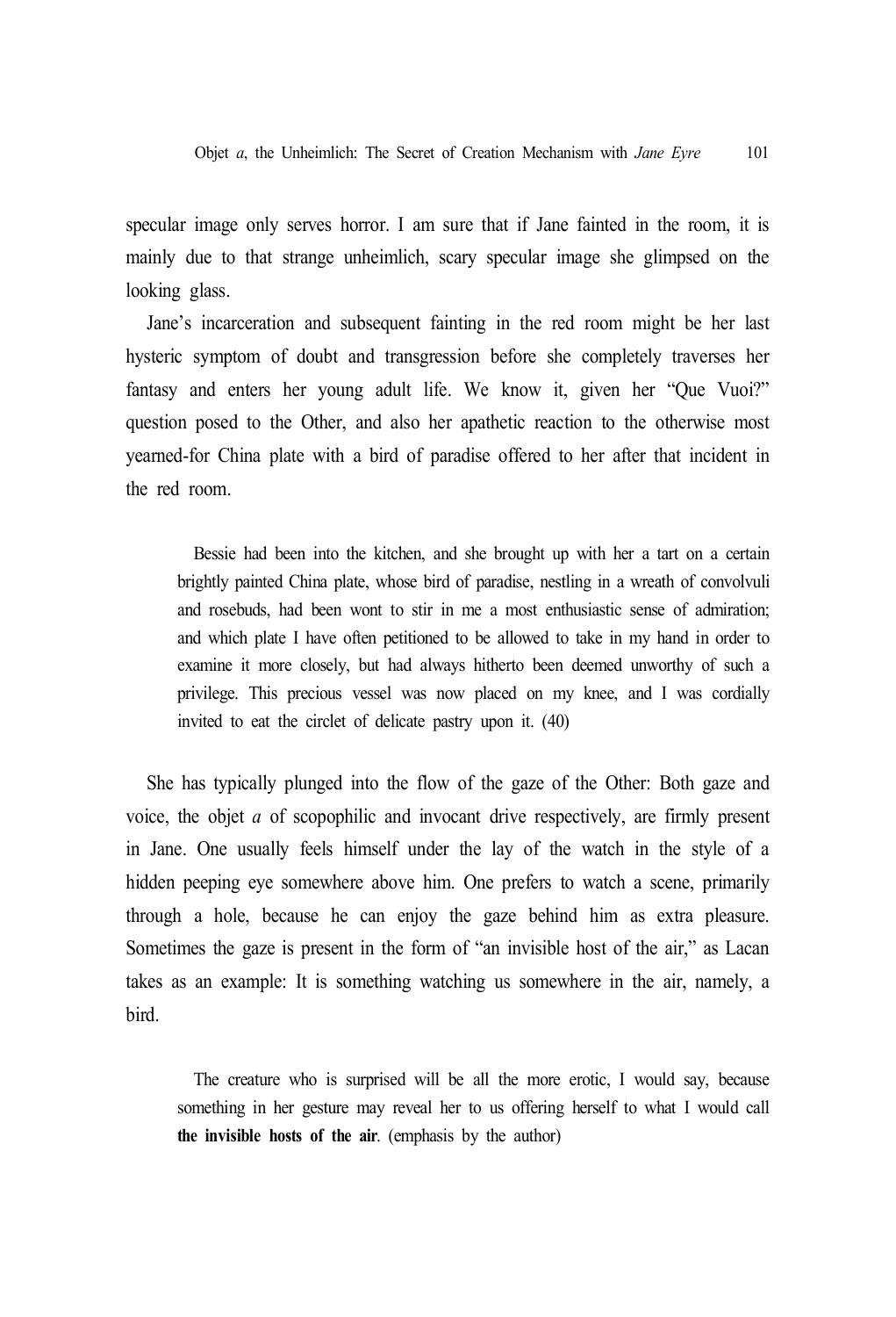specular image only serves horror. I am sure that if Jane fainted in the room, it is mainly due to that strange unheimlich, scary specular image she glimpsed on the looking glass.

Jane's incarceration and subsequent fainting in the red room might be her last hysteric symptom of doubt and transgression before she completely traverses her fantasy and enters her young adult life. We know it, given her "Que Vuoi?" question posed to the Other, and also her apathetic reaction to the otherwise most yearned-for China plate with a bird of paradise offered to her after that incident in the red room.

Bessie had been into the kitchen, and she brought up with her a tart on a certain brightly painted China plate, whose bird of paradise, nestling in a wreath of convolvuli and rosebuds, had been wont to stir in me a most enthusiastic sense of admiration; and which plate I have often petitioned to be allowed to take in my hand in order to examine it more closely, but had always hitherto been deemed unworthy of such a privilege. This precious vessel was now placed on my knee, and I was cordially invited to eat the circlet of delicate pastry upon it. (40)

She has typically plunged into the flow of the gaze of the Other: Both gaze and voice, the objet *a* of scopophilic and invocant drive respectively, are firmly present in Jane. One usually feels himself under the lay of the watch in the style of a hidden peeping eye somewhere above him. One prefers to watch a scene, primarily through a hole, because he can enjoy the gaze behind him as extra pleasure. Sometimes the gaze is present in the form of "an invisible host of the air," as Lacan takes as an example: It is something watching us somewhere in the air, namely, a bird.

The creature who is surprised will be all the more erotic, I would say, because something in her gesture may reveal her to us offering herself to what I would call **the invisible hosts of the air**. (emphasis by the author)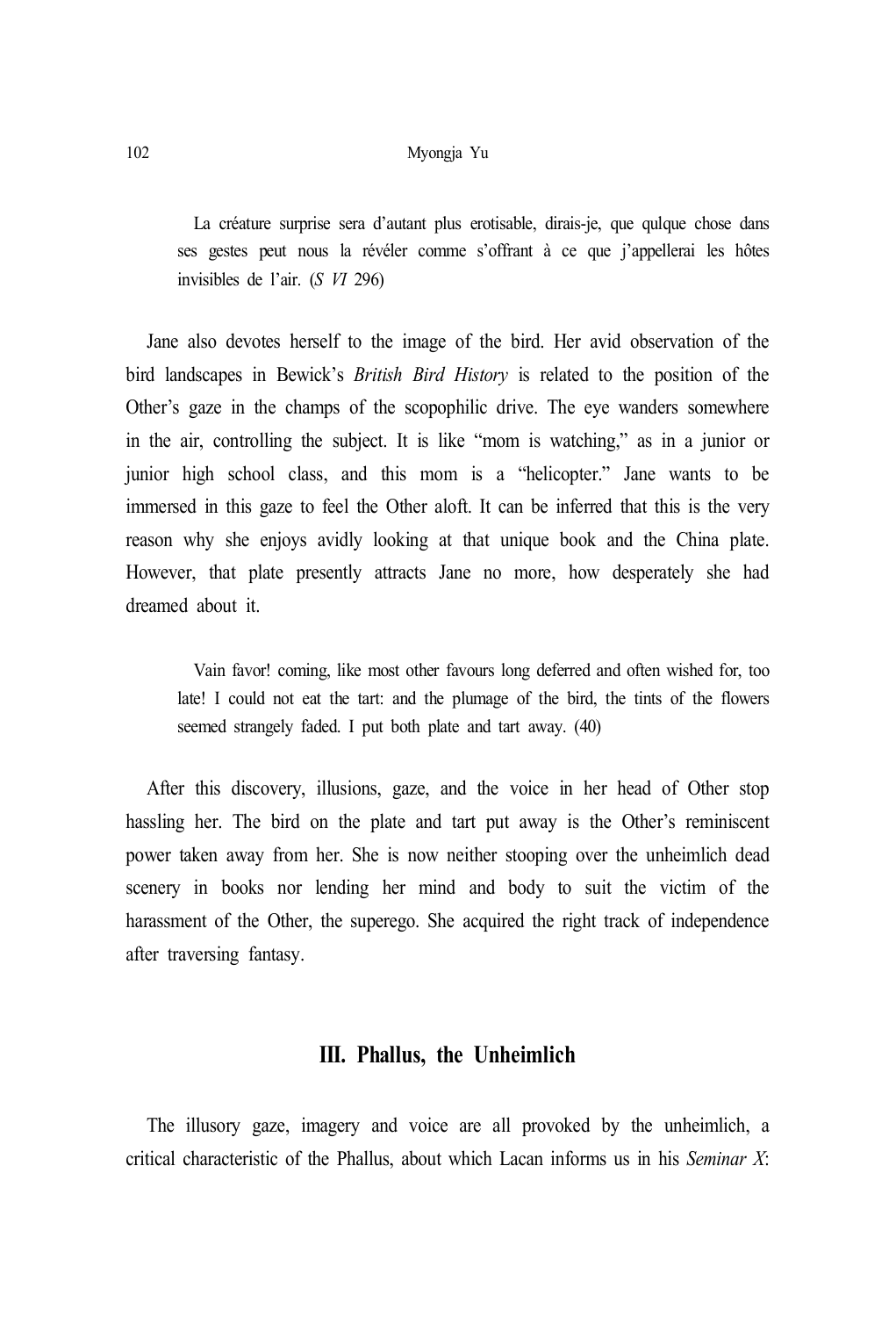La créature surprise sera d'autant plus erotisable, dirais-je, que quique chose dans ses gestes peut nous la révéler comme s'offrant à ce que j'appellerai les hôtes invisibles de l'air. (*S VI* 296)

Jane also devotes herself to the image of the bird. Her avid observation of the bird landscapes in Bewick's *British Bird History* is related to the position of the Other's gaze in the champs of the scopophilic drive. The eye wanders somewhere in the air, controlling the subject. It is like "mom is watching," as in a junior or junior high school class, and this mom is a "helicopter." Jane wants to be immersed in this gaze to feel the Other aloft. It can be inferred that this is the very reason why she enjoys avidly looking at that unique book and the China plate. However, that plate presently attracts Jane no more, how desperately she had dreamed about it.

Vain favor! coming, like most other favours long deferred and often wished for, too late! I could not eat the tart: and the plumage of the bird, the tints of the flowers seemed strangely faded. I put both plate and tart away. (40)

After this discovery, illusions, gaze, and the voice in her head of Other stop hassling her. The bird on the plate and tart put away is the Other's reminiscent power taken away from her. She is now neither stooping over the unheimlich dead scenery in books nor lending her mind and body to suit the victim of the harassment of the Other, the superego. She acquired the right track of independence after traversing fantasy.

# **III. Phallus, the Unheimlich**

The illusory gaze, imagery and voice are all provoked by the unheimlich, a critical characteristic of the Phallus, about which Lacan informs us in his *Seminar X*: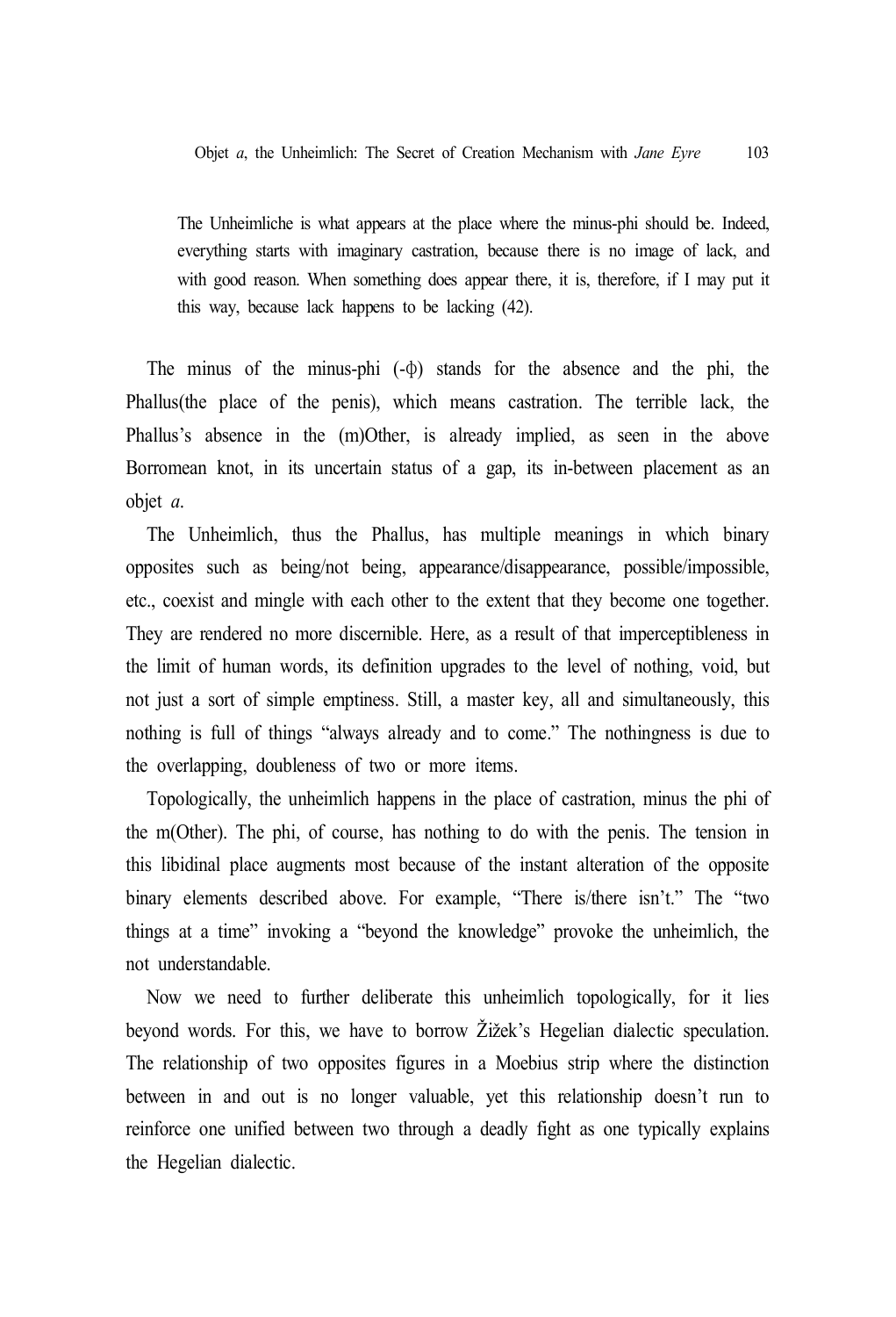The Unheimliche is what appears at the place where the minus-phi should be. Indeed, everything starts with imaginary castration, because there is no image of lack, and with good reason. When something does appear there, it is, therefore, if I may put it this way, because lack happens to be lacking (42).

The minus of the minus-phi (-φ) stands for the absence and the phi, the Phallus(the place of the penis), which means castration. The terrible lack, the Phallus's absence in the (m)Other, is already implied, as seen in the above Borromean knot, in its uncertain status of a gap, its in-between placement as an objet *a*.

The Unheimlich, thus the Phallus, has multiple meanings in which binary opposites such as being/not being, appearance/disappearance, possible/impossible, etc., coexist and mingle with each other to the extent that they become one together. They are rendered no more discernible. Here, as a result of that imperceptibleness in the limit of human words, its definition upgrades to the level of nothing, void, but not just a sort of simple emptiness. Still, a master key, all and simultaneously, this nothing is full of things "always already and to come." The nothingness is due to the overlapping, doubleness of two or more items.

Topologically, the unheimlich happens in the place of castration, minus the phi of the m(Other). The phi, of course, has nothing to do with the penis. The tension in this libidinal place augments most because of the instant alteration of the opposite binary elements described above. For example, "There is/there isn't." The "two things at a time" invoking a "beyond the knowledge" provoke the unheimlich, the not understandable.

Now we need to further deliberate this unheimlich topologically, for it lies beyond words. For this, we have to borrow Žižek's Hegelian dialectic speculation. The relationship of two opposites figures in a Moebius strip where the distinction between in and out is no longer valuable, yet this relationship doesn't run to reinforce one unified between two through a deadly fight as one typically explains the Hegelian dialectic.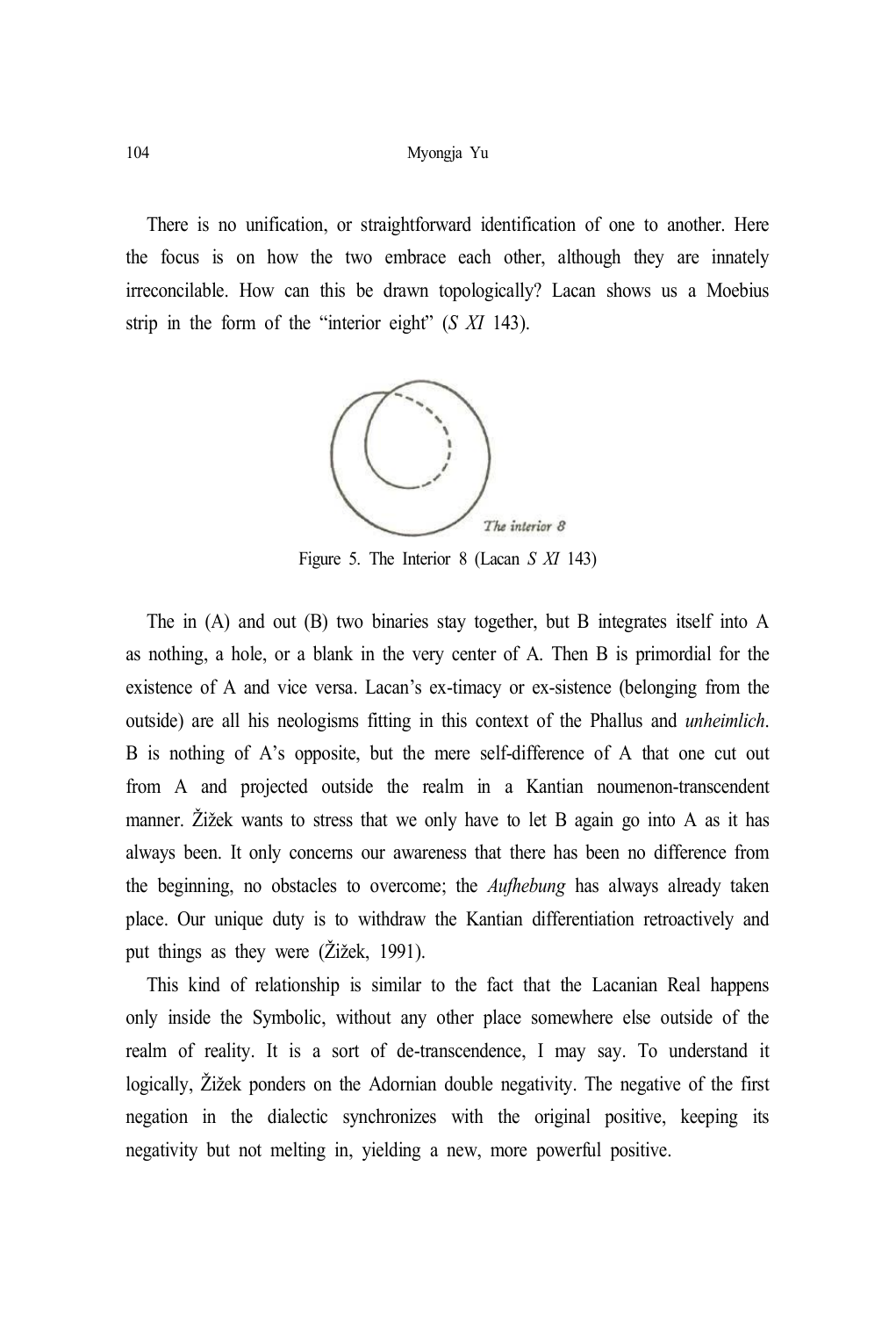There is no unification, or straightforward identification of one to another. Here the focus is on how the two embrace each other, although they are innately irreconcilable. How can this be drawn topologically? Lacan shows us a Moebius strip in the form of the "interior eight" (*S XI* 143).



Figure 5. The Interior 8 (Lacan *S XI* 143)

The in (A) and out (B) two binaries stay together, but B integrates itself into A as nothing, a hole, or a blank in the very center of A. Then B is primordial for the existence of A and vice versa. Lacan's ex-timacy or ex-sistence (belonging from the outside) are all his neologisms fitting in this context of the Phallus and *unheimlich*. B is nothing of A's opposite, but the mere self-difference of A that one cut out from A and projected outside the realm in a Kantian noumenon-transcendent manner. Žižek wants to stress that we only have to let B again go into A as it has always been. It only concerns our awareness that there has been no difference from the beginning, no obstacles to overcome; the *Aufhebung* has always already taken place. Our unique duty is to withdraw the Kantian differentiation retroactively and put things as they were (Žižek, 1991).

This kind of relationship is similar to the fact that the Lacanian Real happens only inside the Symbolic, without any other place somewhere else outside of the realm of reality. It is a sort of de-transcendence, I may say. To understand it logically, Žižek ponders on the Adornian double negativity. The negative of the first negation in the dialectic synchronizes with the original positive, keeping its negativity but not melting in, yielding a new, more powerful positive.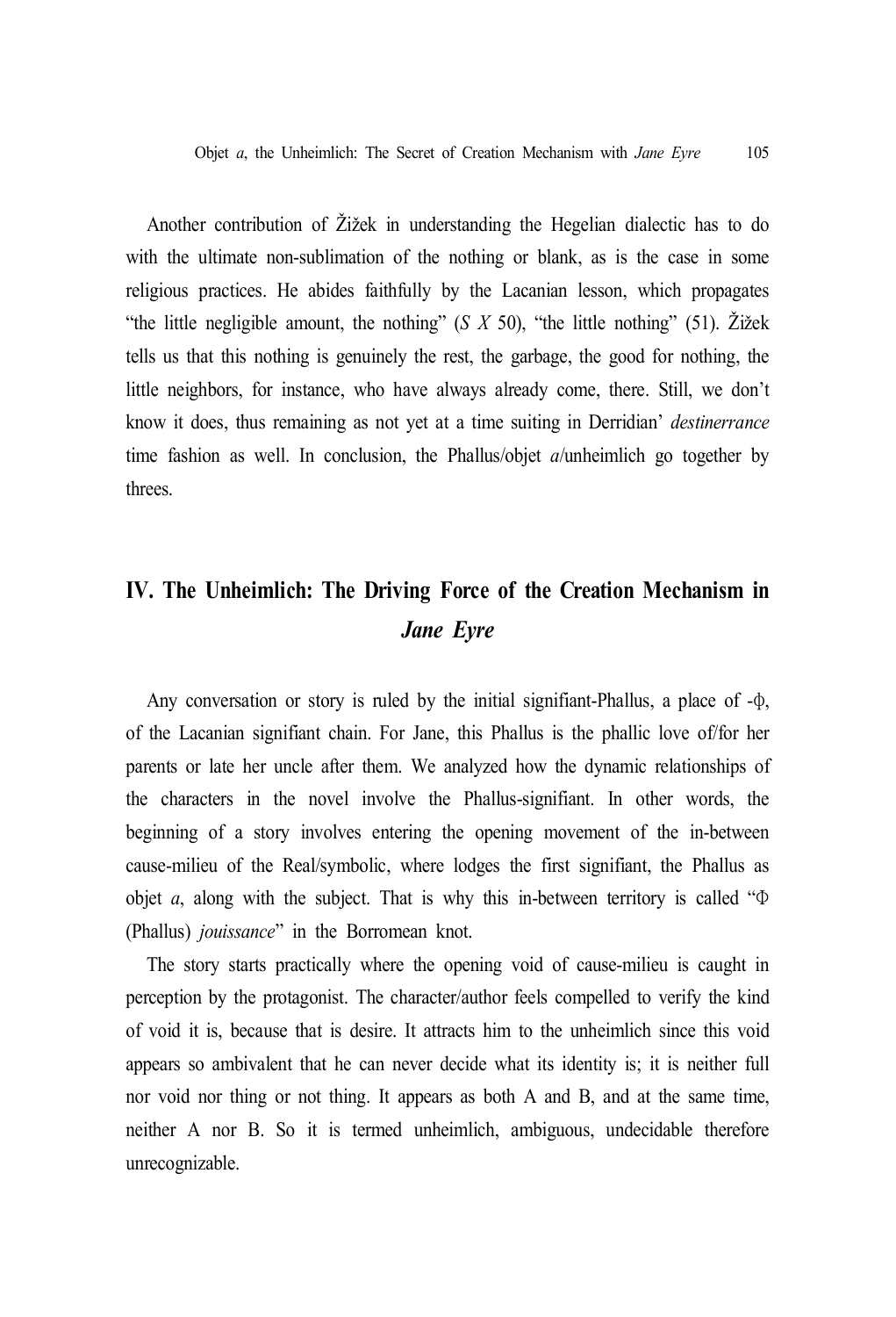Another contribution of Žižek in understanding the Hegelian dialectic has to do with the ultimate non-sublimation of the nothing or blank, as is the case in some religious practices. He abides faithfully by the Lacanian lesson, which propagates "the little negligible amount, the nothing" (*S X* 50), "the little nothing" (51). Žižek tells us that this nothing is genuinely the rest, the garbage, the good for nothing, the little neighbors, for instance, who have always already come, there. Still, we don't know it does, thus remaining as not yet at a time suiting in Derridian' *destinerrance* time fashion as well. In conclusion, the Phallus/objet *a*/unheimlich go together by threes.

# **IV. The Unheimlich: The Driving Force of the Creation Mechanism in** *Jane Eyre*

Any conversation or story is ruled by the initial signifiant-Phallus, a place of -φ, of the Lacanian signifiant chain. For Jane, this Phallus is the phallic love of/for her parents or late her uncle after them. We analyzed how the dynamic relationships of the characters in the novel involve the Phallus-signifiant. In other words, the beginning of a story involves entering the opening movement of the in-between cause-milieu of the Real/symbolic, where lodges the first signifiant, the Phallus as objet *a*, along with the subject. That is why this in-between territory is called "Φ (Phallus) *jouissance*" in the Borromean knot.

The story starts practically where the opening void of cause-milieu is caught in perception by the protagonist. The character/author feels compelled to verify the kind of void it is, because that is desire. It attracts him to the unheimlich since this void appears so ambivalent that he can never decide what its identity is; it is neither full nor void nor thing or not thing. It appears as both A and B, and at the same time, neither A nor B. So it is termed unheimlich, ambiguous, undecidable therefore unrecognizable.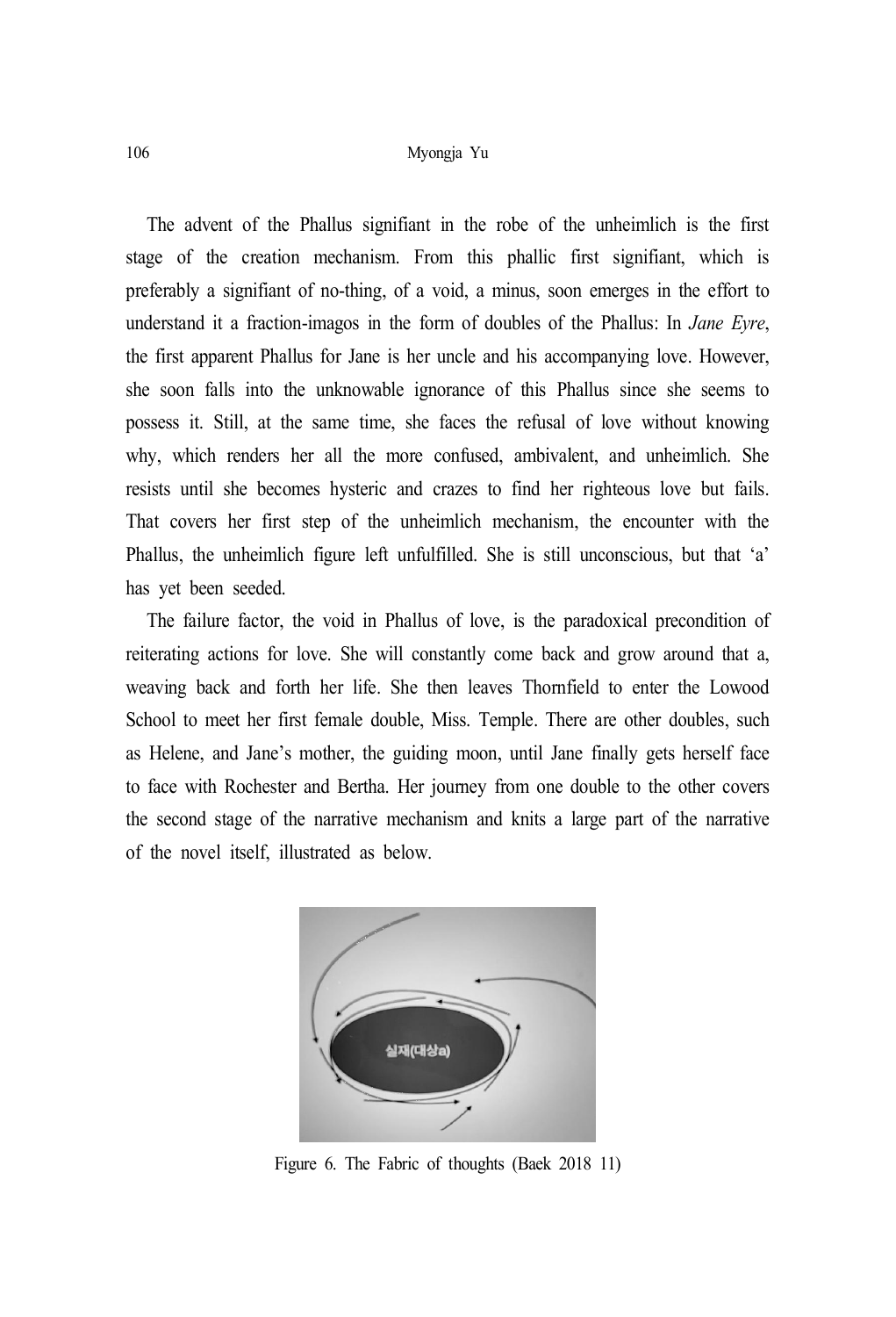The advent of the Phallus signifiant in the robe of the unheimlich is the first stage of the creation mechanism. From this phallic first signifiant, which is preferably a signifiant of no-thing, of a void, a minus, soon emerges in the effort to understand it a fraction-imagos in the form of doubles of the Phallus: In *Jane Eyre*, the first apparent Phallus for Jane is her uncle and his accompanying love. However, she soon falls into the unknowable ignorance of this Phallus since she seems to possess it. Still, at the same time, she faces the refusal of love without knowing why, which renders her all the more confused, ambivalent, and unheimlich. She resists until she becomes hysteric and crazes to find her righteous love but fails. That covers her first step of the unheimlich mechanism, the encounter with the Phallus, the unheimlich figure left unfulfilled. She is still unconscious, but that 'a' has yet been seeded.

The failure factor, the void in Phallus of love, is the paradoxical precondition of reiterating actions for love. She will constantly come back and grow around that a, weaving back and forth her life. She then leaves Thornfield to enter the Lowood School to meet her first female double, Miss. Temple. There are other doubles, such as Helene, and Jane's mother, the guiding moon, until Jane finally gets herself face to face with Rochester and Bertha. Her journey from one double to the other covers the second stage of the narrative mechanism and knits a large part of the narrative of the novel itself, illustrated as below.



Figure 6. The Fabric of thoughts (Baek 2018 11)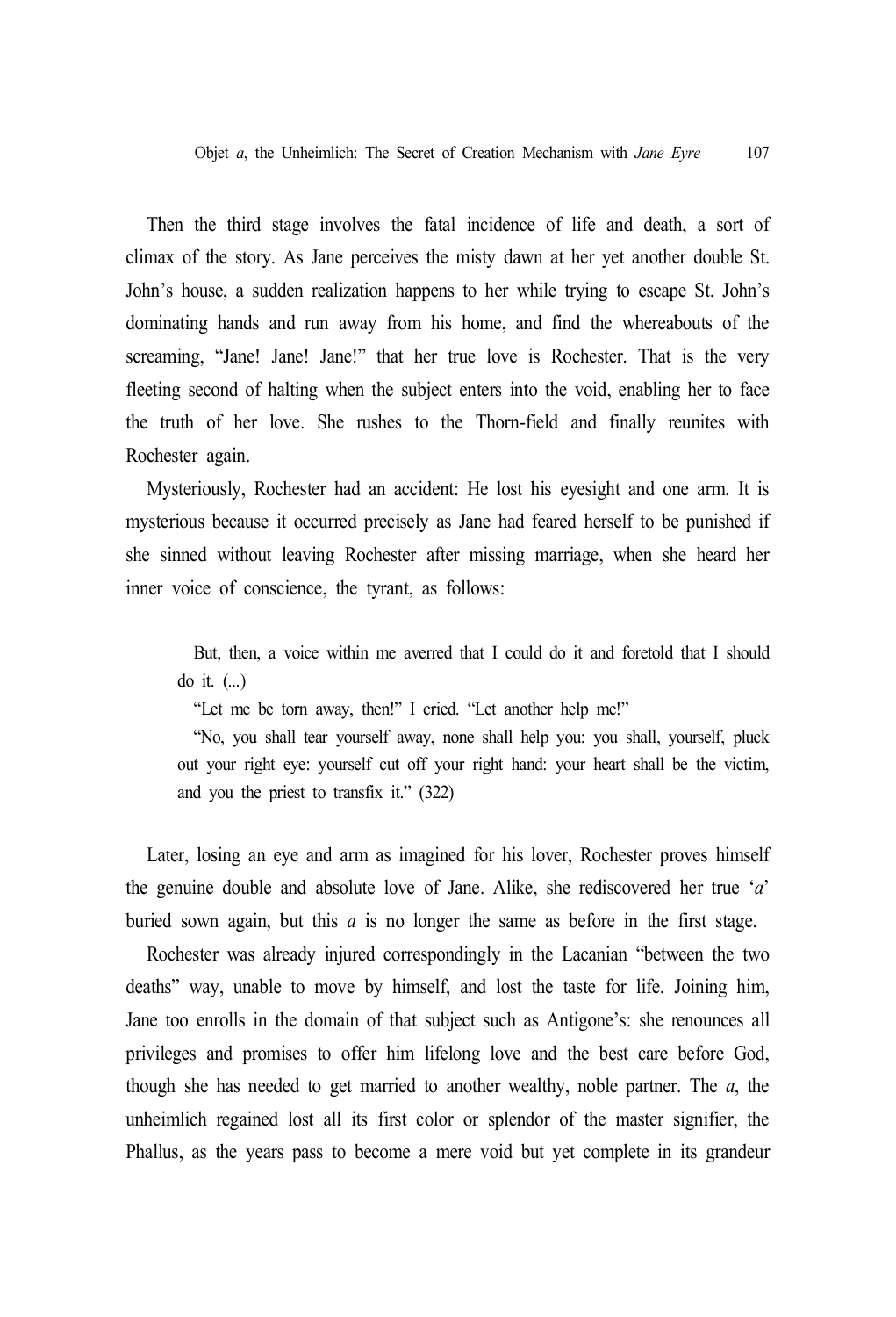Then the third stage involves the fatal incidence of life and death, a sort of climax of the story. As Jane perceives the misty dawn at her yet another double St. John's house, a sudden realization happens to her while trying to escape St. John's dominating hands and run away from his home, and find the whereabouts of the screaming, "Jane! Jane! Jane!" that her true love is Rochester. That is the very fleeting second of halting when the subject enters into the void, enabling her to face the truth of her love. She rushes to the Thorn-field and finally reunites with Rochester again.

Mysteriously, Rochester had an accident: He lost his eyesight and one arm. It is mysterious because it occurred precisely as Jane had feared herself to be punished if she sinned without leaving Rochester after missing marriage, when she heard her inner voice of conscience, the tyrant, as follows:

But, then, a voice within me averred that I could do it and foretold that I should do it. (...)

"Let me be torn away, then!" I cried. "Let another help me!"

"No, you shall tear yourself away, none shall help you: you shall, yourself, pluck out your right eye: yourself cut off your right hand: your heart shall be the victim, and you the priest to transfix it." (322)

Later, losing an eye and arm as imagined for his lover, Rochester proves himself the genuine double and absolute love of Jane. Alike, she rediscovered her true '*a*' buried sown again, but this *a* is no longer the same as before in the first stage.

Rochester was already injured correspondingly in the Lacanian "between the two deaths" way, unable to move by himself, and lost the taste for life. Joining him, Jane too enrolls in the domain of that subject such as Antigone's: she renounces all privileges and promises to offer him lifelong love and the best care before God, though she has needed to get married to another wealthy, noble partner. The *a*, the unheimlich regained lost all its first color or splendor of the master signifier, the Phallus, as the years pass to become a mere void but yet complete in its grandeur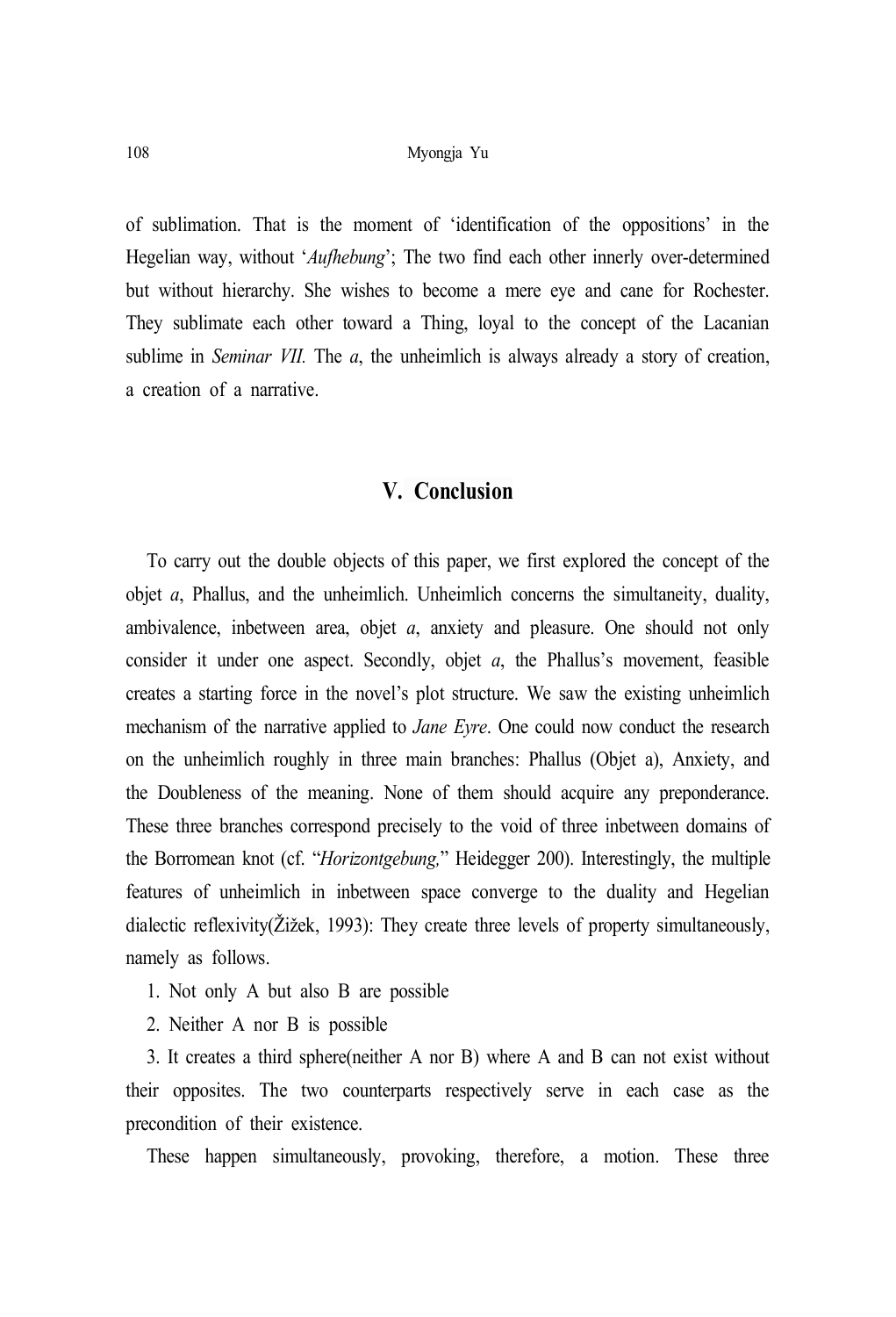of sublimation. That is the moment of 'identification of the oppositions' in the Hegelian way, without '*Aufhebung*'; The two find each other innerly over-determined but without hierarchy. She wishes to become a mere eye and cane for Rochester. They sublimate each other toward a Thing, loyal to the concept of the Lacanian sublime in *Seminar VII.* The *a*, the unheimlich is always already a story of creation, a creation of a narrative.

# **V. Conclusion**

To carry out the double objects of this paper, we first explored the concept of the objet *a*, Phallus, and the unheimlich. Unheimlich concerns the simultaneity, duality, ambivalence, inbetween area, objet *a*, anxiety and pleasure. One should not only consider it under one aspect. Secondly, objet *a*, the Phallus's movement, feasible creates a starting force in the novel's plot structure. We saw the existing unheimlich mechanism of the narrative applied to *Jane Eyre*. One could now conduct the research on the unheimlich roughly in three main branches: Phallus (Objet a), Anxiety, and the Doubleness of the meaning. None of them should acquire any preponderance. These three branches correspond precisely to the void of three inbetween domains of the Borromean knot (cf. "*Horizontgebung,*" Heidegger 200). Interestingly, the multiple features of unheimlich in inbetween space converge to the duality and Hegelian dialectic reflexivity(Žižek, 1993): They create three levels of property simultaneously, namely as follows.

- 1. Not only A but also B are possible
- 2. Neither A nor B is possible

3. It creates a third sphere(neither A nor B) where A and B can not exist without their opposites. The two counterparts respectively serve in each case as the precondition of their existence.

These happen simultaneously, provoking, therefore, a motion. These three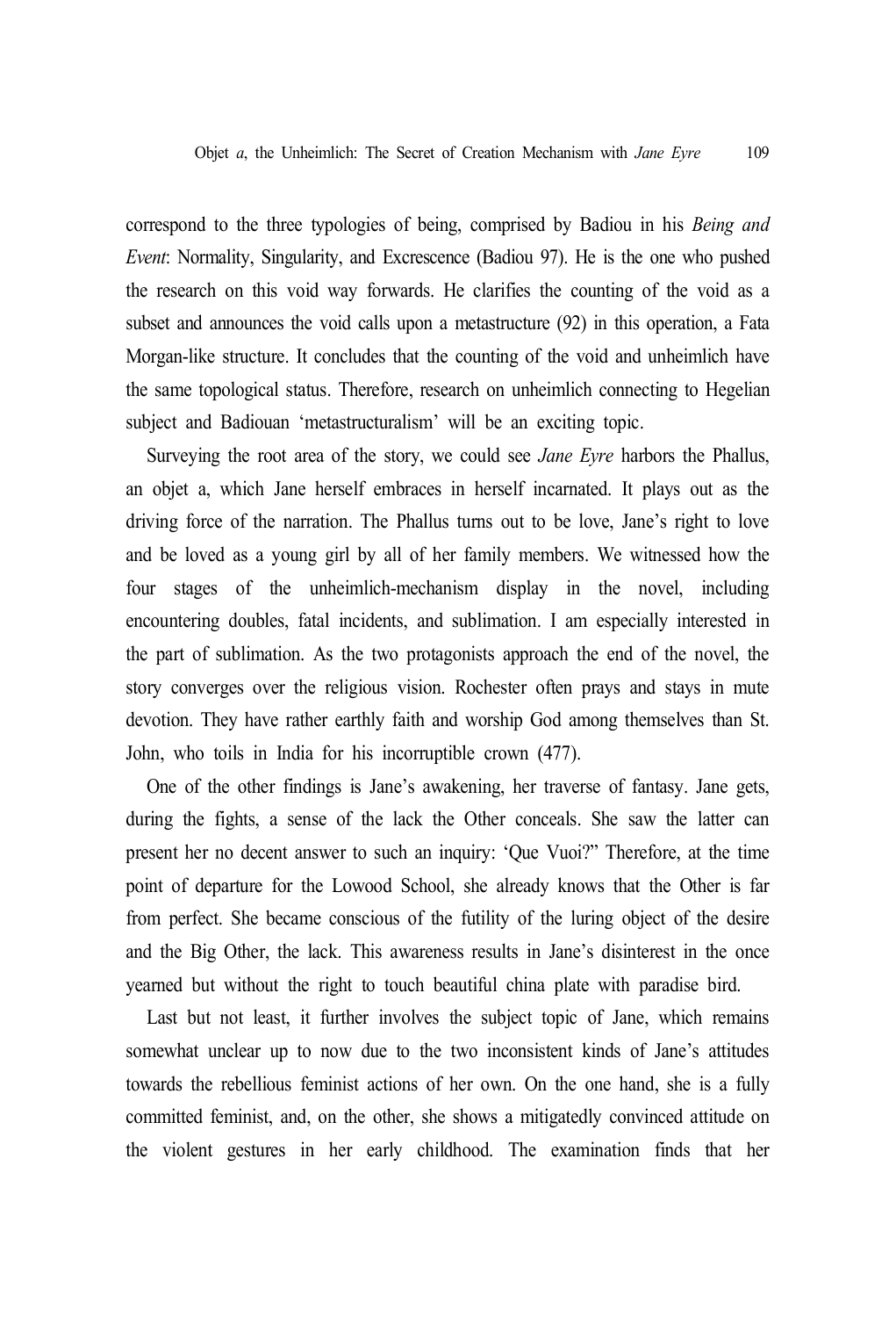correspond to the three typologies of being, comprised by Badiou in his *Being and Event*: Normality, Singularity, and Excrescence (Badiou 97). He is the one who pushed the research on this void way forwards. He clarifies the counting of the void as a subset and announces the void calls upon a metastructure (92) in this operation, a Fata Morgan-like structure. It concludes that the counting of the void and unheimlich have the same topological status. Therefore, research on unheimlich connecting to Hegelian subject and Badiouan 'metastructuralism' will be an exciting topic.

Surveying the root area of the story, we could see *Jane Eyre* harbors the Phallus, an objet a, which Jane herself embraces in herself incarnated. It plays out as the driving force of the narration. The Phallus turns out to be love, Jane's right to love and be loved as a young girl by all of her family members. We witnessed how the four stages of the unheimlich-mechanism display in the novel, including encountering doubles, fatal incidents, and sublimation. I am especially interested in the part of sublimation. As the two protagonists approach the end of the novel, the story converges over the religious vision. Rochester often prays and stays in mute devotion. They have rather earthly faith and worship God among themselves than St. John, who toils in India for his incorruptible crown (477).

One of the other findings is Jane's awakening, her traverse of fantasy. Jane gets, during the fights, a sense of the lack the Other conceals. She saw the latter can present her no decent answer to such an inquiry: 'Que Vuoi?" Therefore, at the time point of departure for the Lowood School, she already knows that the Other is far from perfect. She became conscious of the futility of the luring object of the desire and the Big Other, the lack. This awareness results in Jane's disinterest in the once yearned but without the right to touch beautiful china plate with paradise bird.

Last but not least, it further involves the subject topic of Jane, which remains somewhat unclear up to now due to the two inconsistent kinds of Jane's attitudes towards the rebellious feminist actions of her own. On the one hand, she is a fully committed feminist, and, on the other, she shows a mitigatedly convinced attitude on the violent gestures in her early childhood. The examination finds that her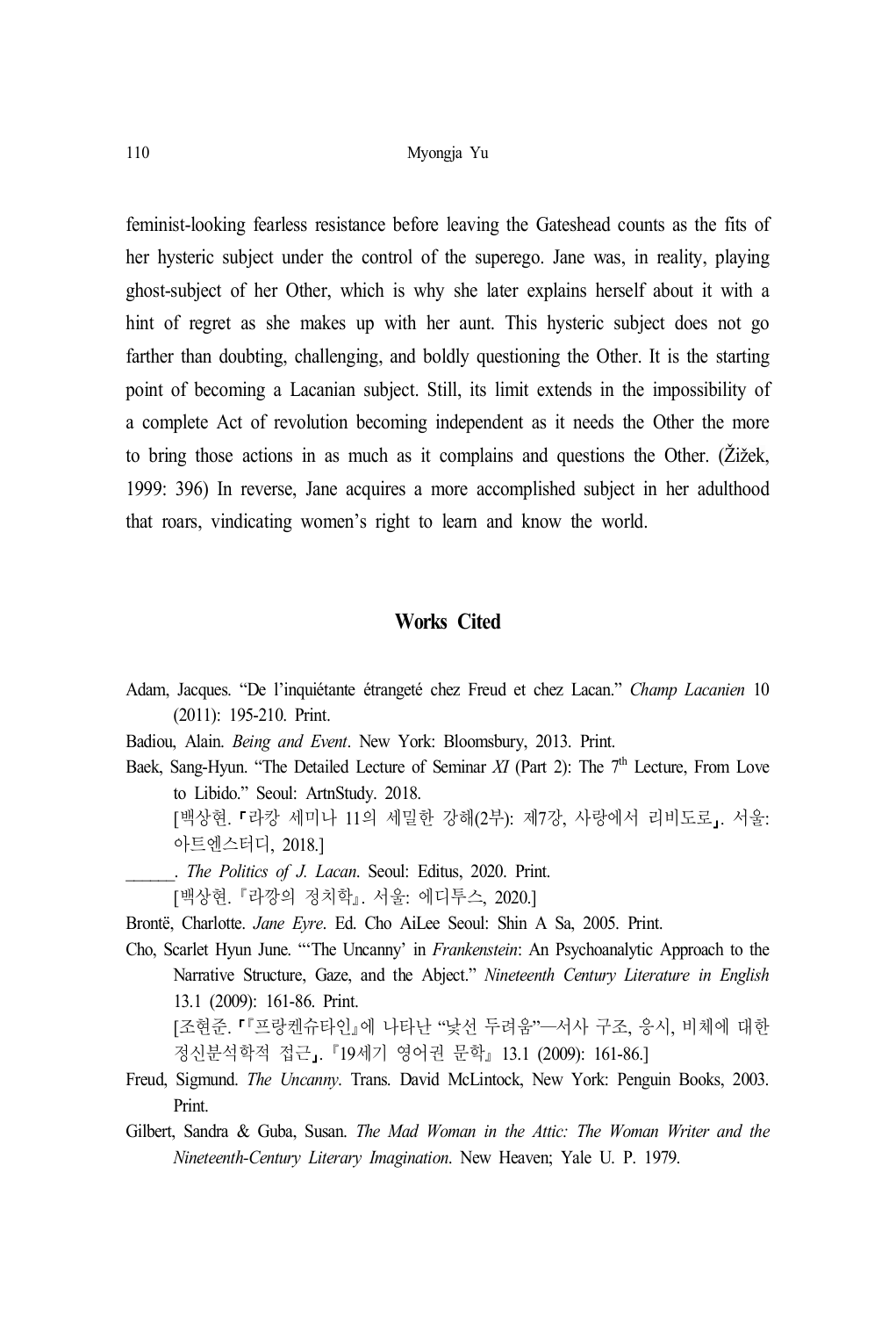feminist-looking fearless resistance before leaving the Gateshead counts as the fits of her hysteric subject under the control of the superego. Jane was, in reality, playing ghost-subject of her Other, which is why she later explains herself about it with a hint of regret as she makes up with her aunt. This hysteric subject does not go farther than doubting, challenging, and boldly questioning the Other. It is the starting point of becoming a Lacanian subject. Still, its limit extends in the impossibility of a complete Act of revolution becoming independent as it needs the Other the more to bring those actions in as much as it complains and questions the Other. (Žižek, 1999: 396) In reverse, Jane acquires a more accomplished subject in her adulthood that roars, vindicating women's right to learn and know the world.

#### **Works Cited**

- Adam, Jacques. "De l'inquiétante étrangeté chez Freud et chez Lacan." *Champ Lacanien* 10 (2011): 195-210. Print.
- Badiou, Alain. *Being and Event*. New York: Bloomsbury, 2013. Print.
- Baek, Sang-Hyun. "The Detailed Lecture of Seminar *XI* (Part 2): The 7<sup>th</sup> Lecture, From Love to Libido." Seoul: ArtnStudy. 2018.

[백상현. 『라캉 세미나 11의 세밀한 강해(2부): 제7강, 사랑에서 리비도로, 서울: 아트엔스터디, 2018.]

- \_\_\_\_\_\_. *The Politics of J. Lacan*. Seoul: Editus, 2020. Print.
- [백상현. 라깡의 정치학. 서울: 에디투스, 2020.]

Brontë, Charlotte. *Jane Eyre*. Ed. Cho AiLee Seoul: Shin A Sa, 2005. Print.

Cho, Scarlet Hyun June. "'The Uncanny' in *Frankenstein*: An Psychoanalytic Approach to the Narrative Structure, Gaze, and the Abject." *Nineteenth Century Literature in English* 13.1 (2009): 161-86. Print.

[조현준. 『프랑켄슈타인』에 나타난 "낯선 두려움"–서사 구조, 응시, 비체에 대한 정신분석학적 접근」. 『19세기 영어권 문학』 13.1 (2009): 161-86.]

- Freud, Sigmund. *The Uncanny*. Trans. David McLintock, New York: Penguin Books, 2003. Print.
- Gilbert, Sandra & Guba, Susan. *The Mad Woman in the Attic: The Woman Writer and the Nineteenth-Century Literary Imagination*. New Heaven; Yale U. P. 1979.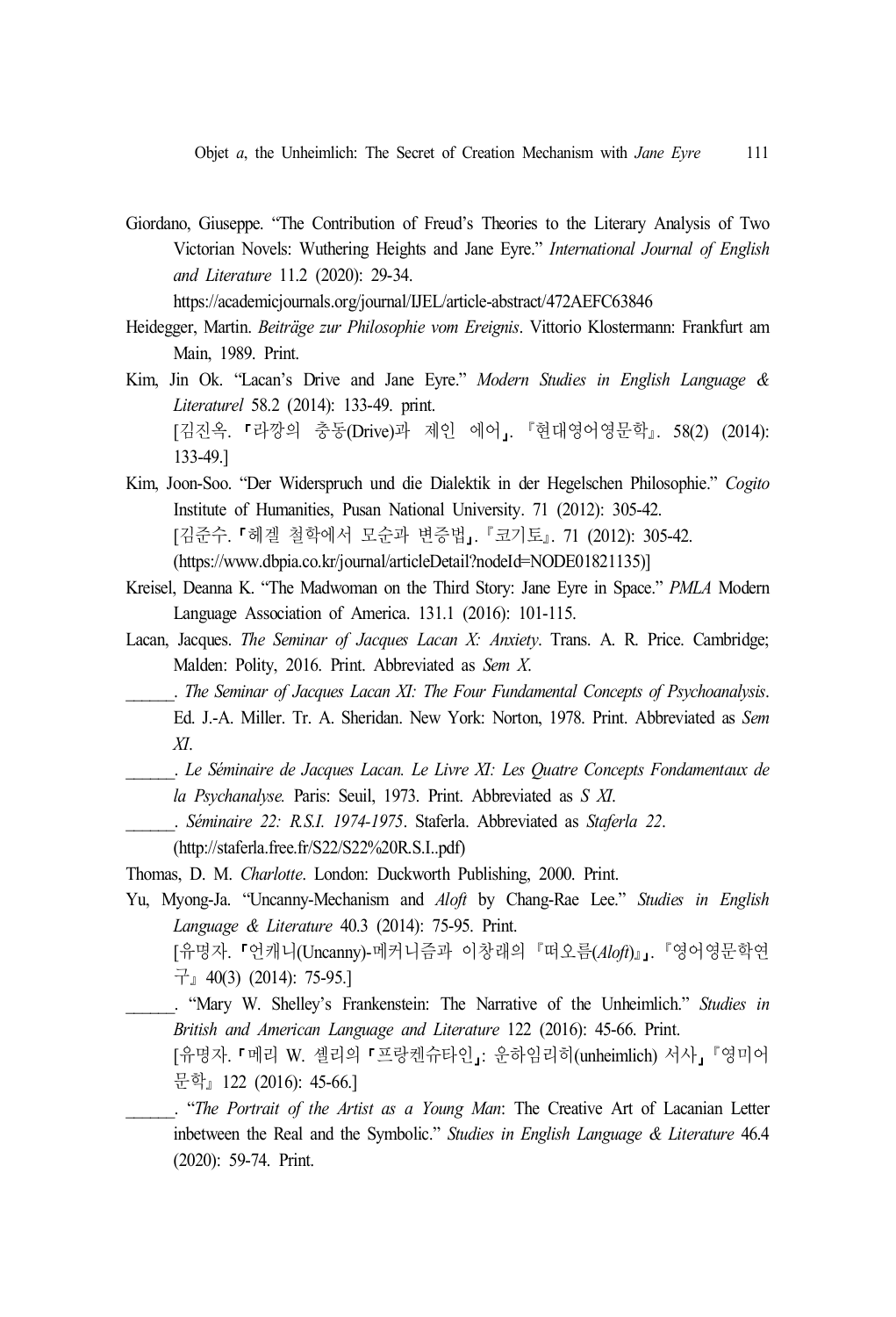Giordano, Giuseppe. "The Contribution of Freud's Theories to the Literary Analysis of Two Victorian Novels: Wuthering Heights and Jane Eyre." *International Journal of English and Literature* 11.2 (2020): 29-34.

```
https://academicjournals.org/journal/IJEL/article-abstract/472AEFC63846
```
- Heidegger, Martin. *Beiträge zur Philosophie vom Ereignis*. Vittorio Klostermann: Frankfurt am Main, 1989. Print.
- Kim, Jin Ok. "Lacan's Drive and Jane Eyre." *Modern Studies in English Language & Literaturel* 58.2 (2014): 133-49. print. [김진옥. 『라깡의 충동(Drive)과 제인 에어』. 『현대영어영문학』. 58(2) (2014): 133-49.]
- Kim, Joon-Soo. "Der Widerspruch und die Dialektik in der Hegelschen Philosophie." *Cogito* Institute of Humanities, Pusan National University. 71 (2012): 305-42. [김준수. 『헤겔 철학에서 모순과 변증법』. 『코기토』. 71 (2012): 305-42. (https://www.dbpia.co.kr/journal/articleDetail?nodeId=NODE01821135)]
- Kreisel, Deanna K. "The Madwoman on the Third Story: Jane Eyre in Space." *PMLA* Modern Language Association of America. 131.1 (2016): 101-115.
- Lacan, Jacques. *The Seminar of Jacques Lacan X: Anxiety*. Trans. A. R. Price. Cambridge; Malden: Polity, 2016. Print. Abbreviated as *Sem X*.
	- \_\_\_\_\_\_. *The Seminar of Jacques Lacan XI: The Four Fundamental Concepts of Psychoanalysis*. Ed. J.-A. Miller. Tr. A. Sheridan. New York: Norton, 1978. Print. Abbreviated as *Sem XI*.
	- \_\_\_\_\_\_. *Le Séminaire de Jacques Lacan. Le Livre XI: Les Quatre Concepts Fondamentaux de la Psychanalyse.* Paris: Seuil, 1973. Print. Abbreviated as *S XI*.
	- \_\_\_\_\_\_. *Séminaire 22: R.S.I. 1974-1975*. Staferla. Abbreviated as *Staferla 22*.
	- (http://staferla.free.fr/S22/S22%20R.S.I..pdf)
- Thomas, D. M. *Charlotte*. London: Duckworth Publishing, 2000. Print.
- Yu, Myong-Ja. "Uncanny-Mechanism and *Aloft* by Chang-Rae Lee." *Studies in English Language & Literature* 40.3 (2014): 75-95. Print.
	- [유명자. 『언캐니(Uncanny)-메커니즘과 이창래의 『떠오름(Aloft)』. 『영어영문학연  $\overline{\mathcal{F}}$  40(3) (2014): 75-95.]
	- \_\_\_\_\_\_. "Mary W. Shelley's Frankenstein: The Narrative of the Unheimlich." *Studies in British and American Language and Literature* 122 (2016): 45-66. Print.
		- [유명자. 『메리 W. 셸리의 『프랑켄슈타인 : 운하임리히(unheimlich) 서사, 『영미어 문학』122 (2016): 45-66.]
	- \_\_\_\_\_\_. "*The Portrait of the Artist as a Young Man*: The Creative Art of Lacanian Letter inbetween the Real and the Symbolic." *Studies in English Language & Literature* 46.4 (2020): 59-74. Print.